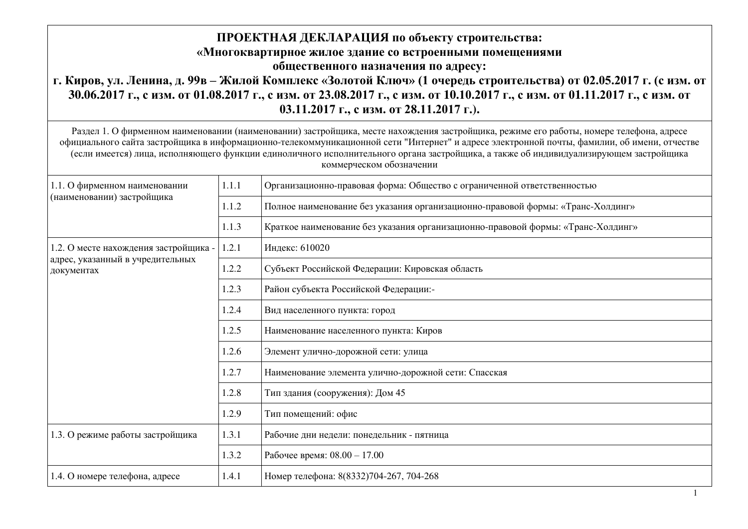## ПРОЕКТНАЯ ДЕКЛАРАЦИЯ по объекту строительства: «Многоквартирное жилое здание со встроенными помещениями **общественного назначения по адресу:** г. Киров, ул. Ленина, д. 99в – Жилой Комплекс «Золотой Ключ» (1 очередь строительства) от 02.05.2017 г. (с изм. от 30.06.2017 г., с изм. от 01.08.2017 г., с изм. от 23.08.2017 г., с изм. от 10.10.2017 г., с изм. от 01.11.2017 г., с изм. от **03.11.2017 г., с изм. от 28.11.2017 г.).**

Раздел 1. О фирменном наименовании (наименовании) застройщика, месте нахождения застройщика, режиме его работы, номере телефона, адресе официального сайта застройщика в информационно-телекоммуникационной сети "Интернет" и адресе электронной почты, фамилии, об имени, отчестве (если имеется) лица, исполняющего функции единоличного исполнительного органа застройщика, а также об индивидуализирующем застройщика коммерческом обозначении

| 1.1. О фирменном наименовании<br>(наименовании) застройщика | 1.1.1 | Организационно-правовая форма: Общество с ограниченной ответственностью          |
|-------------------------------------------------------------|-------|----------------------------------------------------------------------------------|
|                                                             | 1.1.2 | Полное наименование без указания организационно-правовой формы: «Транс-Холдинг»  |
|                                                             | 1.1.3 | Краткое наименование без указания организационно-правовой формы: «Транс-Холдинг» |
| 1.2. О месте нахождения застройщика -                       | 1.2.1 | Индекс: 610020                                                                   |
| адрес, указанный в учредительных<br>документах              | 1.2.2 | Субъект Российской Федерации: Кировская область                                  |
|                                                             | 1.2.3 | Район субъекта Российской Федерации:-                                            |
|                                                             | 1.2.4 | Вид населенного пункта: город                                                    |
|                                                             | 1.2.5 | Наименование населенного пункта: Киров                                           |
|                                                             | 1.2.6 | Элемент улично-дорожной сети: улица                                              |
|                                                             | 1.2.7 | Наименование элемента улично-дорожной сети: Спасская                             |
|                                                             | 1.2.8 | Тип здания (сооружения): Дом 45                                                  |
|                                                             | 1.2.9 | Тип помещений: офис                                                              |
| 1.3. О режиме работы застройщика                            | 1.3.1 | Рабочие дни недели: понедельник - пятница                                        |
|                                                             | 1.3.2 | Рабочее время: 08.00 - 17.00                                                     |
| 1.4. О номере телефона, адресе                              | 1.4.1 | Номер телефона: 8(8332)704-267, 704-268                                          |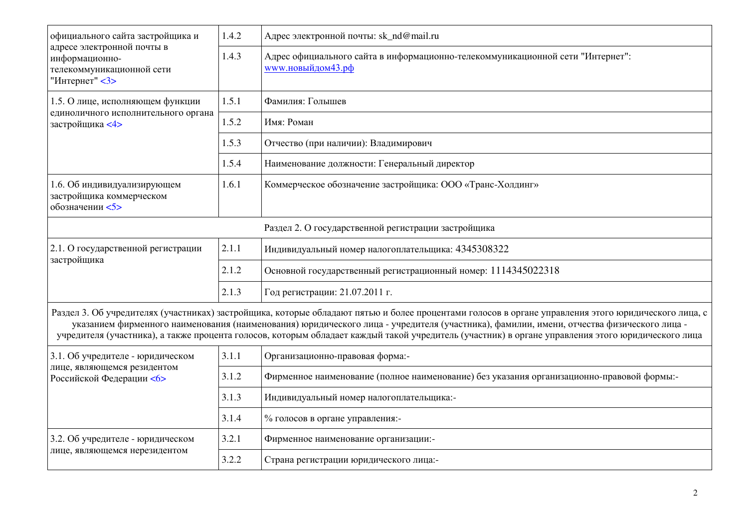| официального сайта застройщика и<br>адресе электронной почты в<br>информационно-<br>телекоммуникационной сети<br>"Интернет" <3> | 1.4.2 | Адрес электронной почты: sk_nd@mail.ru                                                                                                                                                                                                                                                                                                                                                                                                               |
|---------------------------------------------------------------------------------------------------------------------------------|-------|------------------------------------------------------------------------------------------------------------------------------------------------------------------------------------------------------------------------------------------------------------------------------------------------------------------------------------------------------------------------------------------------------------------------------------------------------|
|                                                                                                                                 | 1.4.3 | Адрес официального сайта в информационно-телекоммуникационной сети "Интернет":<br>www.новыйдом43.pф                                                                                                                                                                                                                                                                                                                                                  |
| 1.5. О лице, исполняющем функции                                                                                                | 1.5.1 | Фамилия: Гольшев                                                                                                                                                                                                                                                                                                                                                                                                                                     |
| единоличного исполнительного органа<br>застройщика <4>                                                                          | 1.5.2 | Имя: Роман                                                                                                                                                                                                                                                                                                                                                                                                                                           |
|                                                                                                                                 | 1.5.3 | Отчество (при наличии): Владимирович                                                                                                                                                                                                                                                                                                                                                                                                                 |
|                                                                                                                                 | 1.5.4 | Наименование должности: Генеральный директор                                                                                                                                                                                                                                                                                                                                                                                                         |
| 1.6. Об индивидуализирующем<br>застройщика коммерческом<br>обозначении <5>                                                      | 1.6.1 | Коммерческое обозначение застройщика: ООО «Транс-Холдинг»                                                                                                                                                                                                                                                                                                                                                                                            |
|                                                                                                                                 |       | Раздел 2. О государственной регистрации застройщика                                                                                                                                                                                                                                                                                                                                                                                                  |
| 2.1. О государственной регистрации                                                                                              | 2.1.1 | Индивидуальный номер налогоплательщика: 4345308322                                                                                                                                                                                                                                                                                                                                                                                                   |
| застройщика                                                                                                                     | 2.1.2 | Основной государственный регистрационный номер: 1114345022318                                                                                                                                                                                                                                                                                                                                                                                        |
|                                                                                                                                 | 2.1.3 | Год регистрации: 21.07.2011 г.                                                                                                                                                                                                                                                                                                                                                                                                                       |
|                                                                                                                                 |       | Раздел 3. Об учредителях (участниках) застройщика, которые обладают пятью и более процентами голосов в органе управления этого юридического лица, с<br>указанием фирменного наименования (наименования) юридического лица - учредителя (участника), фамилии, имени, отчества физического лица -<br>учредителя (участника), а также процента голосов, которым обладает каждый такой учредитель (участник) в органе управления этого юридического лица |
| 3.1. Об учредителе - юридическом                                                                                                | 3.1.1 | Организационно-правовая форма:-                                                                                                                                                                                                                                                                                                                                                                                                                      |
| лице, являющемся резидентом<br>Российской Федерации <6>                                                                         | 3.1.2 | Фирменное наименование (полное наименование) без указания организационно-правовой формы:-                                                                                                                                                                                                                                                                                                                                                            |
|                                                                                                                                 | 3.1.3 | Индивидуальный номер налогоплательщика:-                                                                                                                                                                                                                                                                                                                                                                                                             |
|                                                                                                                                 | 3.1.4 | % голосов в органе управления:-                                                                                                                                                                                                                                                                                                                                                                                                                      |
| 3.2. Об учредителе - юридическом                                                                                                | 3.2.1 | Фирменное наименование организации:-                                                                                                                                                                                                                                                                                                                                                                                                                 |
| лице, являющемся нерезидентом                                                                                                   | 3.2.2 | Страна регистрации юридического лица:-                                                                                                                                                                                                                                                                                                                                                                                                               |
|                                                                                                                                 |       |                                                                                                                                                                                                                                                                                                                                                                                                                                                      |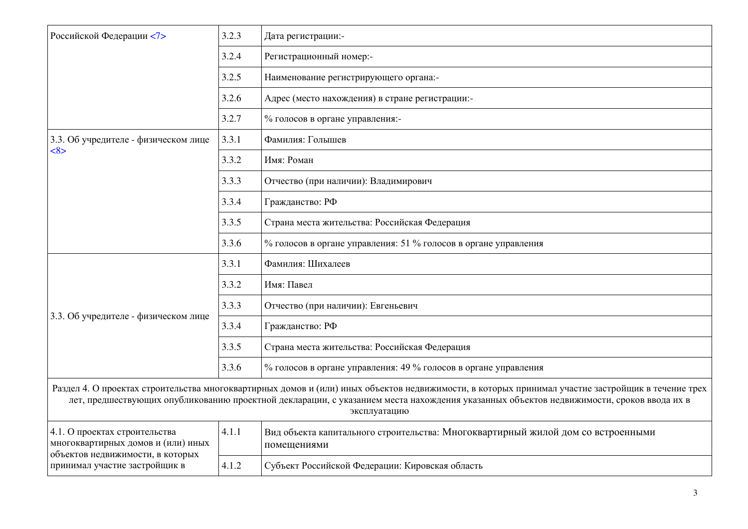| Российской Федерации <7>                                                                                                                 | 3.2.3 | Дата регистрации:-                                                                                                                                                                                                                                                                                           |
|------------------------------------------------------------------------------------------------------------------------------------------|-------|--------------------------------------------------------------------------------------------------------------------------------------------------------------------------------------------------------------------------------------------------------------------------------------------------------------|
|                                                                                                                                          | 3.2.4 | Регистрационный номер:-                                                                                                                                                                                                                                                                                      |
|                                                                                                                                          | 3.2.5 | Наименование регистрирующего органа:-                                                                                                                                                                                                                                                                        |
|                                                                                                                                          | 3.2.6 | Адрес (место нахождения) в стране регистрации:-                                                                                                                                                                                                                                                              |
|                                                                                                                                          | 3.2.7 | % голосов в органе управления:-                                                                                                                                                                                                                                                                              |
| 3.3. Об учредителе - физическом лице                                                                                                     | 3.3.1 | Фамилия: Голышев                                                                                                                                                                                                                                                                                             |
| <8>                                                                                                                                      | 3.3.2 | Имя: Роман                                                                                                                                                                                                                                                                                                   |
|                                                                                                                                          | 3.3.3 | Отчество (при наличии): Владимирович                                                                                                                                                                                                                                                                         |
|                                                                                                                                          | 3.3.4 | Гражданство: РФ                                                                                                                                                                                                                                                                                              |
|                                                                                                                                          | 3.3.5 | Страна места жительства: Российская Федерация                                                                                                                                                                                                                                                                |
|                                                                                                                                          | 3.3.6 | % голосов в органе управления: 51 % голосов в органе управления                                                                                                                                                                                                                                              |
|                                                                                                                                          | 3.3.1 | Фамилия: Шихалеев                                                                                                                                                                                                                                                                                            |
|                                                                                                                                          | 3.3.2 | Имя: Павел                                                                                                                                                                                                                                                                                                   |
| 3.3. Об учредителе - физическом лице                                                                                                     | 3.3.3 | Отчество (при наличии): Евгеньевич                                                                                                                                                                                                                                                                           |
|                                                                                                                                          | 3.3.4 | Гражданство: РФ                                                                                                                                                                                                                                                                                              |
|                                                                                                                                          | 3.3.5 | Страна места жительства: Российская Федерация                                                                                                                                                                                                                                                                |
|                                                                                                                                          | 3.3.6 | % голосов в органе управления: 49 % голосов в органе управления                                                                                                                                                                                                                                              |
|                                                                                                                                          |       | Раздел 4. О проектах строительства многоквартирных домов и (или) иных объектов недвижимости, в которых принимал участие застройщик в течение трех<br>лет, предшествующих опубликованию проектной декларации, с указанием места нахождения указанных объектов недвижимости, сроков ввода их в<br>эксплуатацию |
| 4.1. О проектах строительства<br>многоквартирных домов и (или) иных<br>объектов недвижимости, в которых<br>принимал участие застройщик в | 4.1.1 | Вид объекта капитального строительства: Многоквартирный жилой дом со встроенными<br>помещениями                                                                                                                                                                                                              |
|                                                                                                                                          | 4.1.2 | Субъект Российской Федерации: Кировская область                                                                                                                                                                                                                                                              |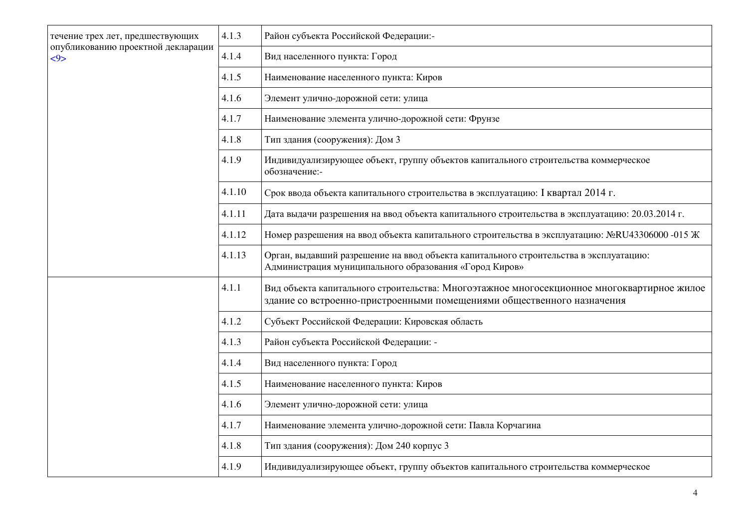| течение трех лет, предшествующих<br>опубликованию проектной декларации<br>55 | 4.1.3  | Район субъекта Российской Федерации:-                                                                                                                                |
|------------------------------------------------------------------------------|--------|----------------------------------------------------------------------------------------------------------------------------------------------------------------------|
|                                                                              | 4.1.4  | Вид населенного пункта: Город                                                                                                                                        |
|                                                                              | 4.1.5  | Наименование населенного пункта: Киров                                                                                                                               |
|                                                                              | 4.1.6  | Элемент улично-дорожной сети: улица                                                                                                                                  |
|                                                                              | 4.1.7  | Наименование элемента улично-дорожной сети: Фрунзе                                                                                                                   |
|                                                                              | 4.1.8  | Тип здания (сооружения): Дом 3                                                                                                                                       |
|                                                                              | 4.1.9  | Индивидуализирующее объект, группу объектов капитального строительства коммерческое<br>обозначение:-                                                                 |
|                                                                              | 4.1.10 | Срок ввода объекта капитального строительства в эксплуатацию: І квартал 2014 г.                                                                                      |
|                                                                              | 4.1.11 | Дата выдачи разрешения на ввод объекта капитального строительства в эксплуатацию: 20.03.2014 г.                                                                      |
|                                                                              | 4.1.12 | Номер разрешения на ввод объекта капитального строительства в эксплуатацию: №RU43306000 -015 Ж                                                                       |
|                                                                              | 4.1.13 | Орган, выдавший разрешение на ввод объекта капитального строительства в эксплуатацию:<br>Администрация муниципального образования «Город Киров»                      |
|                                                                              | 4.1.1  | Вид объекта капитального строительства: Многоэтажное многосекционное многоквартирное жилое<br>здание со встроенно-пристроенными помещениями общественного назначения |
|                                                                              | 4.1.2  | Субъект Российской Федерации: Кировская область                                                                                                                      |
|                                                                              | 4.1.3  | Район субъекта Российской Федерации: -                                                                                                                               |
|                                                                              | 4.1.4  | Вид населенного пункта: Город                                                                                                                                        |
|                                                                              | 4.1.5  | Наименование населенного пункта: Киров                                                                                                                               |
|                                                                              | 4.1.6  | Элемент улично-дорожной сети: улица                                                                                                                                  |
|                                                                              | 4.1.7  | Наименование элемента улично-дорожной сети: Павла Корчагина                                                                                                          |
|                                                                              | 4.1.8  | Тип здания (сооружения): Дом 240 корпус 3                                                                                                                            |
|                                                                              | 4.1.9  | Индивидуализирующее объект, группу объектов капитального строительства коммерческое                                                                                  |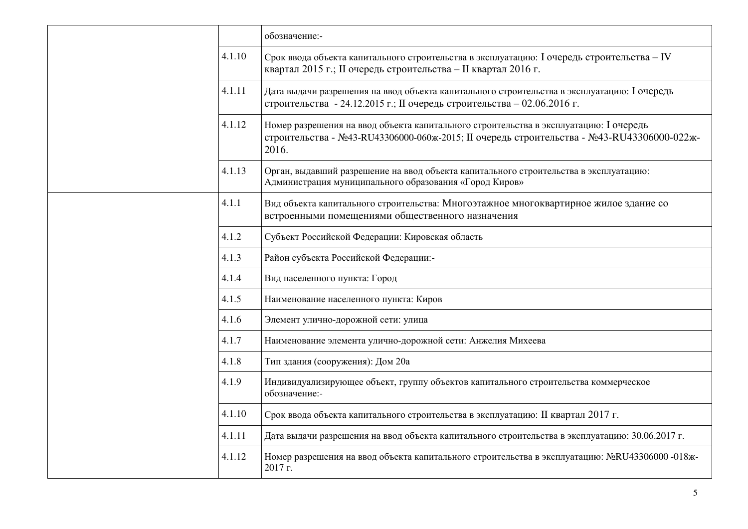|        | обозначение:-                                                                                                                                                                               |
|--------|---------------------------------------------------------------------------------------------------------------------------------------------------------------------------------------------|
| 4.1.10 | Срок ввода объекта капитального строительства в эксплуатацию: I очередь строительства – IV<br>квартал 2015 г.; II очередь строительства - II квартал 2016 г.                                |
| 4.1.11 | Дата выдачи разрешения на ввод объекта капитального строительства в эксплуатацию: І очередь<br>строительства - 24.12.2015 г.; II очередь строительства - 02.06.2016 г.                      |
| 4.1.12 | Номер разрешения на ввод объекта капитального строительства в эксплуатацию: І очередь<br>строительства - №43-RU43306000-060ж-2015; II очередь строительства - №43-RU43306000-022ж-<br>2016. |
| 4.1.13 | Орган, выдавший разрешение на ввод объекта капитального строительства в эксплуатацию:<br>Администрация муниципального образования «Город Киров»                                             |
| 4.1.1  | Вид объекта капитального строительства: Многоэтажное многоквартирное жилое здание со<br>встроенными помещениями общественного назначения                                                    |
| 4.1.2  | Субъект Российской Федерации: Кировская область                                                                                                                                             |
| 4.1.3  | Район субъекта Российской Федерации:-                                                                                                                                                       |
| 4.1.4  | Вид населенного пункта: Город                                                                                                                                                               |
| 4.1.5  | Наименование населенного пункта: Киров                                                                                                                                                      |
| 4.1.6  | Элемент улично-дорожной сети: улица                                                                                                                                                         |
| 4.1.7  | Наименование элемента улично-дорожной сети: Анжелия Михеева                                                                                                                                 |
| 4.1.8  | Тип здания (сооружения): Дом 20а                                                                                                                                                            |
| 4.1.9  | Индивидуализирующее объект, группу объектов капитального строительства коммерческое<br>обозначение:-                                                                                        |
| 4.1.10 | Срок ввода объекта капитального строительства в эксплуатацию: II квартал 2017 г.                                                                                                            |
| 4.1.11 | Дата выдачи разрешения на ввод объекта капитального строительства в эксплуатацию: 30.06.2017 г.                                                                                             |
| 4.1.12 | Номер разрешения на ввод объекта капитального строительства в эксплуатацию: №RU43306000 -018ж-<br>2017 г.                                                                                   |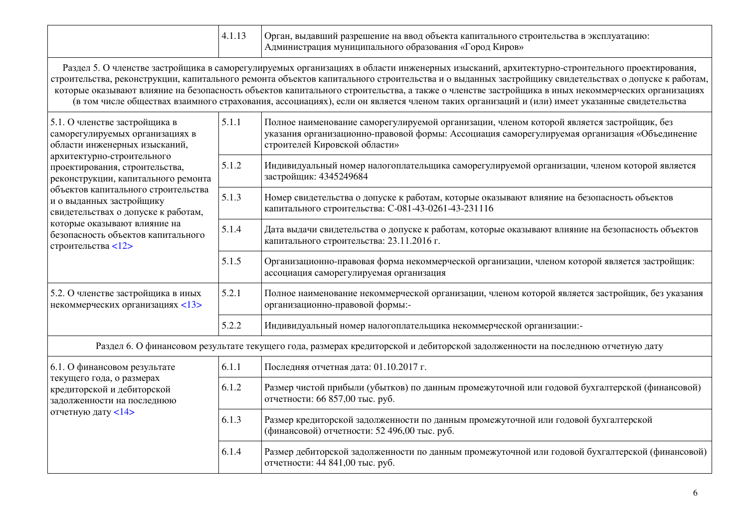|  | , выдавший разрешение на ввод объекта капитального строительства в эксплуатацию:<br>Орган.<br>  Администрация муниципального образования «Город Киров» |
|--|--------------------------------------------------------------------------------------------------------------------------------------------------------|
|  |                                                                                                                                                        |

Раздел 5. О членстве застройщика в саморегулируемых организациях в области инженерных изысканий, архитектурно-строительного проектирования, строительства, реконструкции, капитального ремонта объектов капитального строительства и о выданных застройщику свидетельствах о допуске к работам, ɤɨɬɨɪɵɟ ɨɤɚɡɵɜɚɸɬ ɜɥɢɹɧɢɟ ɧɚ ɛɟɡɨɩɚɫɧɨɫɬɶ ɨɛɴɟɤɬɨɜ ɤɚɩɢɬɚɥɶɧɨɝɨ ɫɬɪɨɢɬɟɥɶɫɬɜɚ, ɚ ɬɚɤɠɟ ɨ ɱɥɟɧɫɬɜɟ ɡɚɫɬɪɨɣɳɢɤɚ ɜ ɢɧɵɯ ɧɟɤɨɦɦɟɪɱɟɫɤɢɯ ɨɪɝɚɧɢɡɚɰɢɹɯ (в том числе обществах взаимного страхования, ассоциациях), если он является членом таких организаций и (или) имеет указанные свидетельства

| 5.1. О членстве застройщика в<br>саморегулируемых организациях в<br>области инженерных изысканий,<br>архитектурно-строительного<br>проектирования, строительства,<br>реконструкции, капитального ремонта<br>объектов капитального строительства<br>и о выданных застройщику<br>свидетельствах о допуске к работам,<br>которые оказывают влияние на<br>безопасность объектов капитального<br>строительства <12> | 5.1.1 | Полное наименование саморегулируемой организации, членом которой является застройщик, без<br>указания организационно-правовой формы: Ассоциация саморегулируемая организация «Объединение<br>строителей Кировской области» |
|----------------------------------------------------------------------------------------------------------------------------------------------------------------------------------------------------------------------------------------------------------------------------------------------------------------------------------------------------------------------------------------------------------------|-------|----------------------------------------------------------------------------------------------------------------------------------------------------------------------------------------------------------------------------|
|                                                                                                                                                                                                                                                                                                                                                                                                                | 5.1.2 | Индивидуальный номер налогоплательщика саморегулируемой организации, членом которой является<br>застройщик: 4345249684                                                                                                     |
|                                                                                                                                                                                                                                                                                                                                                                                                                | 5.1.3 | Номер свидетельства о допуске к работам, которые оказывают влияние на безопасность объектов<br>капитального строительства: С-081-43-0261-43-231116                                                                         |
|                                                                                                                                                                                                                                                                                                                                                                                                                | 5.1.4 | Дата выдачи свидетельства о допуске к работам, которые оказывают влияние на безопасность объектов<br>капитального строительства: 23.11.2016 г.                                                                             |
|                                                                                                                                                                                                                                                                                                                                                                                                                | 5.1.5 | Организационно-правовая форма некоммерческой организации, членом которой является застройщик:<br>ассоциация саморегулируемая организация                                                                                   |
| 5.2. О членстве застройщика в иных<br>некоммерческих организациях <13>                                                                                                                                                                                                                                                                                                                                         | 5.2.1 | Полное наименование некоммерческой организации, членом которой является застройщик, без указания<br>организационно-правовой формы:-                                                                                        |
|                                                                                                                                                                                                                                                                                                                                                                                                                | 5.2.2 | Индивидуальный номер налогоплательщика некоммерческой организации:-                                                                                                                                                        |

Раздел 6. О финансовом результате текущего года, размерах кредиторской и дебиторской задолженности на последнюю отчетную дату

| $(6.1. O \phi)$ инансовом результате<br>текущего года, о размерах<br>кредиторской и дебиторской<br>задолженности на последнюю<br>отчетную дату $14$ > | 6.1.1 | Последняя отчетная дата: 01.10.2017 г.                                                                                              |
|-------------------------------------------------------------------------------------------------------------------------------------------------------|-------|-------------------------------------------------------------------------------------------------------------------------------------|
|                                                                                                                                                       | 6.1.2 | Размер чистой прибыли (убытков) по данным промежуточной или годовой бухгалтерской (финансовой)<br>отчетности: 66 857,00 тыс. руб.   |
|                                                                                                                                                       | 6.1.3 | Размер кредиторской задолженности по данным промежуточной или годовой бухгалтерской<br>(финансовой) отчетности: 52 496,00 тыс. руб. |
|                                                                                                                                                       | 6.1.4 | Размер дебиторской задолженности по данным промежуточной или годовой бухгалтерской (финансовой)<br>отчетности: 44 841,00 тыс. руб.  |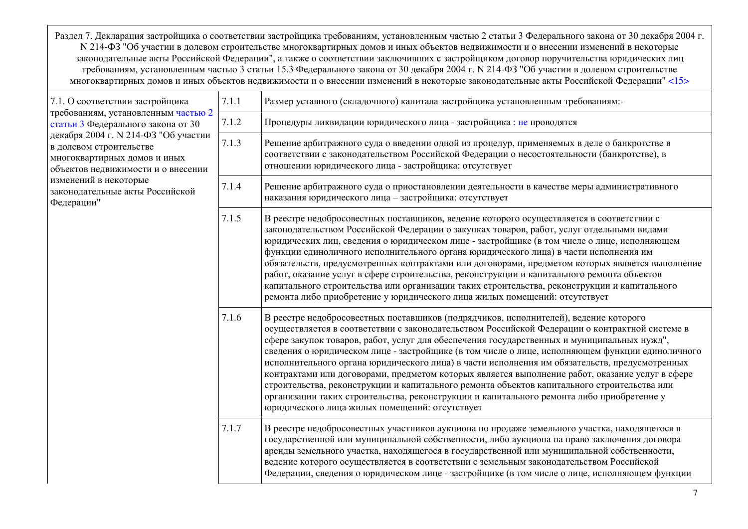Раздел 7. Декларация застройщика о соответствии застройщика требованиям, установленным частью 2 статьи 3 Федерального закона от 30 декабря 2004 г. N 214-ФЗ "Об участии в долевом строительстве многоквартирных домов и иных объектов недвижимости и о внесении изменений в некоторые законодательные акты Российской Федерации", а также о соответствии заключивших с застройщиком договор поручительства юридических лиц требованиям, установленным частью 3 статьи 15.3 Федерального закона от 30 декабря 2004 г. N 214-ФЗ "Об участии в долевом строительстве многоквартирных домов и иных объектов недвижимости и о внесении изменений в некоторые законодательные акты Российской Федерации" [<15>](../../приказ%20минстроя%20ПРОЕКТНАЯ%20ДЕКЛАРАЦИЯ.doc#P697)

| 7.1. О соответствии застройщика<br>требованиям, установленным частью 2<br>статьи 3 Федерального закона от 30<br>декабря 2004 г. N 214-ФЗ "Об участии<br>в долевом строительстве<br>многоквартирных домов и иных<br>объектов недвижимости и о внесении | 7.1.1 | Размер уставного (складочного) капитала застройщика установленным требованиям:-                                                                                                                                                                                                                                                                                                                                                                                                                                                                                                                                                                                                                                                                                                                                                           |
|-------------------------------------------------------------------------------------------------------------------------------------------------------------------------------------------------------------------------------------------------------|-------|-------------------------------------------------------------------------------------------------------------------------------------------------------------------------------------------------------------------------------------------------------------------------------------------------------------------------------------------------------------------------------------------------------------------------------------------------------------------------------------------------------------------------------------------------------------------------------------------------------------------------------------------------------------------------------------------------------------------------------------------------------------------------------------------------------------------------------------------|
|                                                                                                                                                                                                                                                       | 7.1.2 | Процедуры ликвидации юридического лица - застройщика: не проводятся                                                                                                                                                                                                                                                                                                                                                                                                                                                                                                                                                                                                                                                                                                                                                                       |
|                                                                                                                                                                                                                                                       | 7.1.3 | Решение арбитражного суда о введении одной из процедур, применяемых в деле о банкротстве в<br>соответствии с законодательством Российской Федерации о несостоятельности (банкротстве), в<br>отношении юридического лица - застройщика: отсутствует                                                                                                                                                                                                                                                                                                                                                                                                                                                                                                                                                                                        |
| изменений в некоторые<br>законодательные акты Российской<br>Федерации"                                                                                                                                                                                | 7.1.4 | Решение арбитражного суда о приостановлении деятельности в качестве меры административного<br>наказания юридического лица - застройщика: отсутствует                                                                                                                                                                                                                                                                                                                                                                                                                                                                                                                                                                                                                                                                                      |
|                                                                                                                                                                                                                                                       | 7.1.5 | В реестре недобросовестных поставщиков, ведение которого осуществляется в соответствии с<br>законодательством Российской Федерации о закупках товаров, работ, услуг отдельными видами<br>юридических лиц, сведения о юридическом лице - застройщике (в том числе о лице, исполняющем<br>функции единоличного исполнительного органа юридического лица) в части исполнения им<br>обязательств, предусмотренных контрактами или договорами, предметом которых является выполнение<br>работ, оказание услуг в сфере строительства, реконструкции и капитального ремонта объектов<br>капитального строительства или организации таких строительства, реконструкции и капитального<br>ремонта либо приобретение у юридического лица жилых помещений: отсутствует                                                                               |
|                                                                                                                                                                                                                                                       | 7.1.6 | В реестре недобросовестных поставщиков (подрядчиков, исполнителей), ведение которого<br>осуществляется в соответствии с законодательством Российской Федерации о контрактной системе в<br>сфере закупок товаров, работ, услуг для обеспечения государственных и муниципальных нужд",<br>сведения о юридическом лице - застройщике (в том числе о лице, исполняющем функции единоличного<br>исполнительного органа юридического лица) в части исполнения им обязательств, предусмотренных<br>контрактами или договорами, предметом которых является выполнение работ, оказание услуг в сфере<br>строительства, реконструкции и капитального ремонта объектов капитального строительства или<br>организации таких строительства, реконструкции и капитального ремонта либо приобретение у<br>юридического лица жилых помещений: отсутствует |
|                                                                                                                                                                                                                                                       | 7.1.7 | В реестре недобросовестных участников аукциона по продаже земельного участка, находящегося в<br>государственной или муниципальной собственности, либо аукциона на право заключения договора<br>аренды земельного участка, находящегося в государственной или муниципальной собственности,<br>ведение которого осуществляется в соответствии с земельным законодательством Российской<br>Федерации, сведения о юридическом лице - застройщике (в том числе о лице, исполняющем функции                                                                                                                                                                                                                                                                                                                                                     |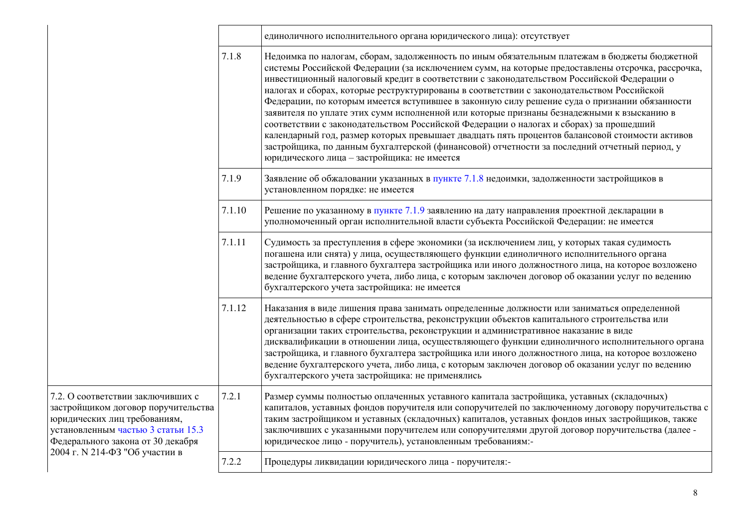|                                                                                                                                                                                                                       |        | единоличного исполнительного органа юридического лица): отсутствует                                                                                                                                                                                                                                                                                                                                                                                                                                                                                                                                                                                                                                                                                                                                                                                                                                                                 |
|-----------------------------------------------------------------------------------------------------------------------------------------------------------------------------------------------------------------------|--------|-------------------------------------------------------------------------------------------------------------------------------------------------------------------------------------------------------------------------------------------------------------------------------------------------------------------------------------------------------------------------------------------------------------------------------------------------------------------------------------------------------------------------------------------------------------------------------------------------------------------------------------------------------------------------------------------------------------------------------------------------------------------------------------------------------------------------------------------------------------------------------------------------------------------------------------|
|                                                                                                                                                                                                                       | 7.1.8  | Недоимка по налогам, сборам, задолженность по иным обязательным платежам в бюджеты бюджетной<br>системы Российской Федерации (за исключением сумм, на которые предоставлены отсрочка, рассрочка,<br>инвестиционный налоговый кредит в соответствии с законодательством Российской Федерации о<br>налогах и сборах, которые реструктурированы в соответствии с законодательством Российской<br>Федерации, по которым имеется вступившее в законную силу решение суда о признании обязанности<br>заявителя по уплате этих сумм исполненной или которые признаны безнадежными к взысканию в<br>соответствии с законодательством Российской Федерации о налогах и сборах) за прошедший<br>календарный год, размер которых превышает двадцать пять процентов балансовой стоимости активов<br>застройщика, по данным бухгалтерской (финансовой) отчетности за последний отчетный период, у<br>юридического лица - застройщика: не имеется |
|                                                                                                                                                                                                                       | 7.1.9  | Заявление об обжаловании указанных в пункте 7.1.8 недоимки, задолженности застройщиков в<br>установленном порядке: не имеется                                                                                                                                                                                                                                                                                                                                                                                                                                                                                                                                                                                                                                                                                                                                                                                                       |
|                                                                                                                                                                                                                       | 7.1.10 | Решение по указанному в пункте 7.1.9 заявлению на дату направления проектной декларации в<br>уполномоченный орган исполнительной власти субъекта Российской Федерации: не имеется                                                                                                                                                                                                                                                                                                                                                                                                                                                                                                                                                                                                                                                                                                                                                   |
|                                                                                                                                                                                                                       | 7.1.11 | Судимость за преступления в сфере экономики (за исключением лиц, у которых такая судимость<br>погашена или снята) у лица, осуществляющего функции единоличного исполнительного органа<br>застройщика, и главного бухгалтера застройщика или иного должностного лица, на которое возложено<br>ведение бухгалтерского учета, либо лица, с которым заключен договор об оказании услуг по ведению<br>бухгалтерского учета застройщика: не имеется                                                                                                                                                                                                                                                                                                                                                                                                                                                                                       |
|                                                                                                                                                                                                                       | 7.1.12 | Наказания в виде лишения права занимать определенные должности или заниматься определенной<br>деятельностью в сфере строительства, реконструкции объектов капитального строительства или<br>организации таких строительства, реконструкции и административное наказание в виде<br>дисквалификации в отношении лица, осуществляющего функции единоличного исполнительного органа<br>застройщика, и главного бухгалтера застройщика или иного должностного лица, на которое возложено<br>ведение бухгалтерского учета, либо лица, с которым заключен договор об оказании услуг по ведению<br>бухгалтерского учета застройщика: не применялись                                                                                                                                                                                                                                                                                         |
| 7.2. О соответствии заключивших с<br>застройщиком договор поручительства<br>юридических лиц требованиям,<br>установленным частью 3 статьи 15.3<br>Федерального закона от 30 декабря<br>2004 г. № 214-ФЗ "Об участии в | 7.2.1  | Размер суммы полностью оплаченных уставного капитала застройщика, уставных (складочных)<br>капиталов, уставных фондов поручителя или сопоручителей по заключенному договору поручительства с<br>таким застройщиком и уставных (складочных) капиталов, уставных фондов иных застройщиков, также<br>заключивших с указанными поручителем или сопоручителями другой договор поручительства (далее -<br>юридическое лицо - поручитель), установленным требованиям:-                                                                                                                                                                                                                                                                                                                                                                                                                                                                     |
|                                                                                                                                                                                                                       | 7.2.2  | Процедуры ликвидации юридического лица - поручителя:-                                                                                                                                                                                                                                                                                                                                                                                                                                                                                                                                                                                                                                                                                                                                                                                                                                                                               |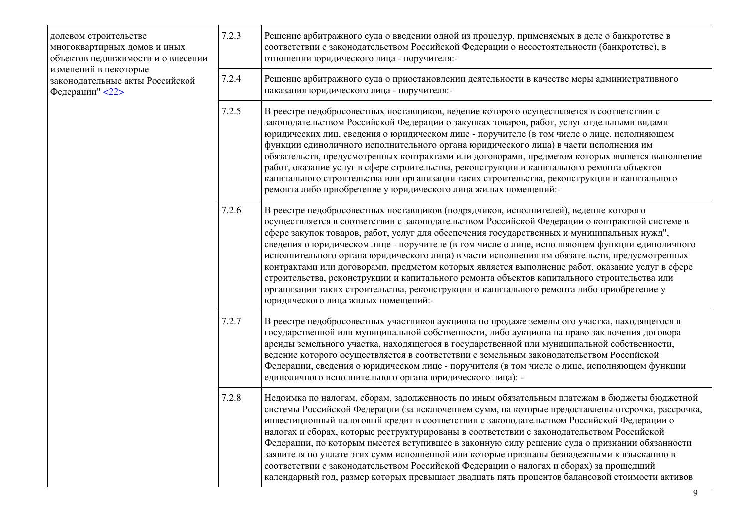| долевом строительстве<br>многоквартирных домов и иных<br>объектов недвижимости и о внесении | 7.2.3 | Решение арбитражного суда о введении одной из процедур, применяемых в деле о банкротстве в<br>соответствии с законодательством Российской Федерации о несостоятельности (банкротстве), в<br>отношении юридического лица - поручителя:-                                                                                                                                                                                                                                                                                                                                                                                                                                                                                                                                                                                        |
|---------------------------------------------------------------------------------------------|-------|-------------------------------------------------------------------------------------------------------------------------------------------------------------------------------------------------------------------------------------------------------------------------------------------------------------------------------------------------------------------------------------------------------------------------------------------------------------------------------------------------------------------------------------------------------------------------------------------------------------------------------------------------------------------------------------------------------------------------------------------------------------------------------------------------------------------------------|
| изменений в некоторые<br>законодательные акты Российской<br>Федерации" <22>                 | 7.2.4 | Решение арбитражного суда о приостановлении деятельности в качестве меры административного<br>наказания юридического лица - поручителя:-                                                                                                                                                                                                                                                                                                                                                                                                                                                                                                                                                                                                                                                                                      |
|                                                                                             | 7.2.5 | В реестре недобросовестных поставщиков, ведение которого осуществляется в соответствии с<br>законодательством Российской Федерации о закупках товаров, работ, услуг отдельными видами<br>юридических лиц, сведения о юридическом лице - поручителе (в том числе о лице, исполняющем<br>функции единоличного исполнительного органа юридического лица) в части исполнения им<br>обязательств, предусмотренных контрактами или договорами, предметом которых является выполнение<br>работ, оказание услуг в сфере строительства, реконструкции и капитального ремонта объектов<br>капитального строительства или организации таких строительства, реконструкции и капитального<br>ремонта либо приобретение у юридического лица жилых помещений:-                                                                               |
|                                                                                             | 7.2.6 | В реестре недобросовестных поставщиков (подрядчиков, исполнителей), ведение которого<br>осуществляется в соответствии с законодательством Российской Федерации о контрактной системе в<br>сфере закупок товаров, работ, услуг для обеспечения государственных и муниципальных нужд",<br>сведения о юридическом лице - поручителе (в том числе о лице, исполняющем функции единоличного<br>исполнительного органа юридического лица) в части исполнения им обязательств, предусмотренных<br>контрактами или договорами, предметом которых является выполнение работ, оказание услуг в сфере<br>строительства, реконструкции и капитального ремонта объектов капитального строительства или<br>организации таких строительства, реконструкции и капитального ремонта либо приобретение у<br>юридического лица жилых помещений:- |
|                                                                                             | 7.2.7 | В реестре недобросовестных участников аукциона по продаже земельного участка, находящегося в<br>государственной или муниципальной собственности, либо аукциона на право заключения договора<br>аренды земельного участка, находящегося в государственной или муниципальной собственности,<br>ведение которого осуществляется в соответствии с земельным законодательством Российской<br>Федерации, сведения о юридическом лице - поручителя (в том числе о лице, исполняющем функции<br>единоличного исполнительного органа юридического лица): -                                                                                                                                                                                                                                                                             |
|                                                                                             | 7.2.8 | Недоимка по налогам, сборам, задолженность по иным обязательным платежам в бюджеты бюджетной<br>системы Российской Федерации (за исключением сумм, на которые предоставлены отсрочка, рассрочка,<br>инвестиционный налоговый кредит в соответствии с законодательством Российской Федерации о<br>налогах и сборах, которые реструктурированы в соответствии с законодательством Российской<br>Федерации, по которым имеется вступившее в законную силу решение суда о признании обязанности<br>заявителя по уплате этих сумм исполненной или которые признаны безнадежными к взысканию в<br>соответствии с законодательством Российской Федерации о налогах и сборах) за прошедший<br>календарный год, размер которых превышает двадцать пять процентов балансовой стоимости активов                                          |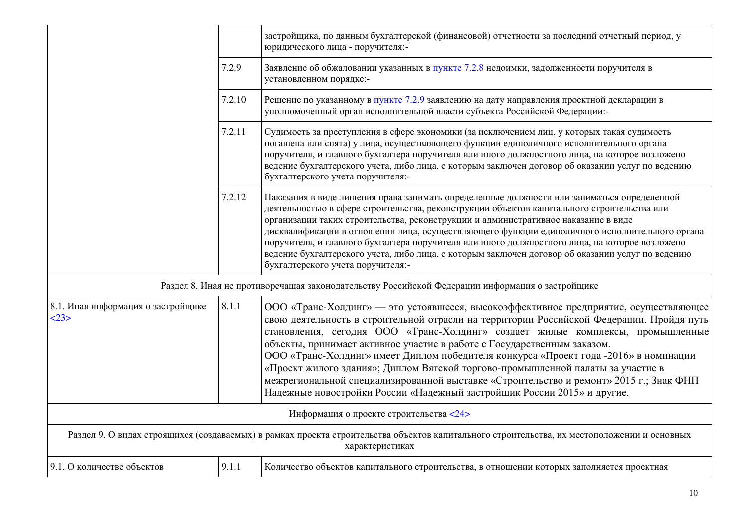|                                          |                                                                                                                                                                | застройщика, по данным бухгалтерской (финансовой) отчетности за последний отчетный период, у<br>юридического лица - поручителя:-                                                                                                                                                                                                                                                                                                                                                                                                                                                                                                                                                              |  |
|------------------------------------------|----------------------------------------------------------------------------------------------------------------------------------------------------------------|-----------------------------------------------------------------------------------------------------------------------------------------------------------------------------------------------------------------------------------------------------------------------------------------------------------------------------------------------------------------------------------------------------------------------------------------------------------------------------------------------------------------------------------------------------------------------------------------------------------------------------------------------------------------------------------------------|--|
|                                          | 7.2.9                                                                                                                                                          | Заявление об обжаловании указанных в пункте 7.2.8 недоимки, задолженности поручителя в<br>установленном порядке:-                                                                                                                                                                                                                                                                                                                                                                                                                                                                                                                                                                             |  |
|                                          | 7.2.10                                                                                                                                                         | Решение по указанному в пункте 7.2.9 заявлению на дату направления проектной декларации в<br>уполномоченный орган исполнительной власти субъекта Российской Федерации:-                                                                                                                                                                                                                                                                                                                                                                                                                                                                                                                       |  |
|                                          | 7.2.11                                                                                                                                                         | Судимость за преступления в сфере экономики (за исключением лиц, у которых такая судимость<br>погашена или снята) у лица, осуществляющего функции единоличного исполнительного органа<br>поручителя, и главного бухгалтера поручителя или иного должностного лица, на которое возложено<br>ведение бухгалтерского учета, либо лица, с которым заключен договор об оказании услуг по ведению<br>бухгалтерского учета поручителя:-                                                                                                                                                                                                                                                              |  |
|                                          | 7.2.12                                                                                                                                                         | Наказания в виде лишения права занимать определенные должности или заниматься определенной<br>деятельностью в сфере строительства, реконструкции объектов капитального строительства или<br>организации таких строительства, реконструкции и административное наказание в виде<br>дисквалификации в отношении лица, осуществляющего функции единоличного исполнительного органа<br>поручителя, и главного бухгалтера поручителя или иного должностного лица, на которое возложено<br>ведение бухгалтерского учета, либо лица, с которым заключен договор об оказании услуг по ведению<br>бухгалтерского учета поручителя:-                                                                    |  |
|                                          |                                                                                                                                                                | Раздел 8. Иная не противоречащая законодательству Российской Федерации информация о застройщике                                                                                                                                                                                                                                                                                                                                                                                                                                                                                                                                                                                               |  |
| 8.1. Иная информация о застройщике<br>23 | 8.1.1                                                                                                                                                          | ООО «Транс-Холдинг» - это устоявшееся, высокоэффективное предприятие, осуществляющее<br>свою деятельность в строительной отрасли на территории Российской Федерации. Пройдя путь<br>становления, сегодня ООО «Транс-Холдинг» создает жилые комплексы, промышленные<br>объекты, принимает активное участие в работе с Государственным заказом.<br>ООО «Транс-Холдинг» имеет Диплом победителя конкурса «Проект года -2016» в номинации<br>«Проект жилого здания»; Диплом Вятской торгово-промышленной палаты за участие в<br>межрегиональной специализированной выставке «Строительство и ремонт» 2015 г.; Знак ФНП<br>Надежные новостройки России «Надежный застройщик России 2015» и другие. |  |
|                                          |                                                                                                                                                                | Информация о проекте строительства <24>                                                                                                                                                                                                                                                                                                                                                                                                                                                                                                                                                                                                                                                       |  |
|                                          | Раздел 9. О видах строящихся (создаваемых) в рамках проекта строительства объектов капитального строительства, их местоположении и основных<br>характеристиках |                                                                                                                                                                                                                                                                                                                                                                                                                                                                                                                                                                                                                                                                                               |  |
| 9.1. О количестве объектов               | 9.1.1                                                                                                                                                          | Количество объектов капитального строительства, в отношении которых заполняется проектная                                                                                                                                                                                                                                                                                                                                                                                                                                                                                                                                                                                                     |  |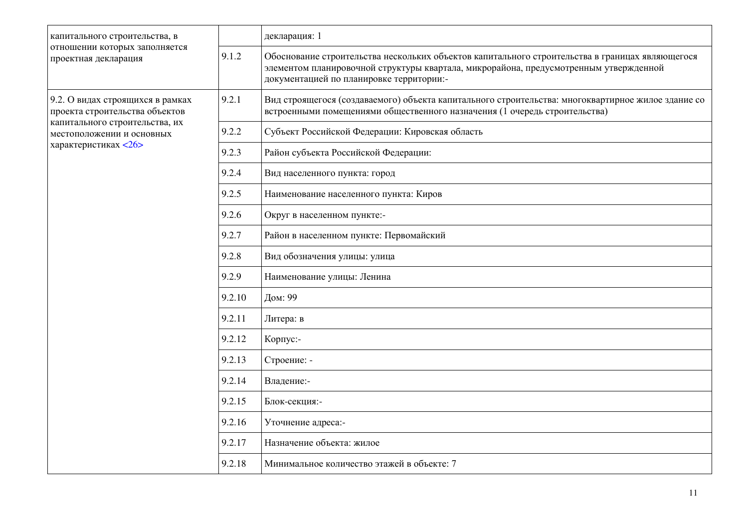| капитального строительства, в                                      |        | декларация: 1                                                                                                                                                                                                                        |
|--------------------------------------------------------------------|--------|--------------------------------------------------------------------------------------------------------------------------------------------------------------------------------------------------------------------------------------|
| отношении которых заполняется<br>проектная декларация              | 9.1.2  | Обоснование строительства нескольких объектов капитального строительства в границах являющегося<br>элементом планировочной структуры квартала, микрорайона, предусмотренным утвержденной<br>документацией по планировке территории:- |
| 9.2. О видах строящихся в рамках<br>проекта строительства объектов | 9.2.1  | Вид строящегося (создаваемого) объекта капитального строительства: многоквартирное жилое здание со<br>встроенными помещениями общественного назначения (1 очередь строительства)                                                     |
| капитального строительства, их<br>местоположении и основных        | 9.2.2  | Субъект Российской Федерации: Кировская область                                                                                                                                                                                      |
| характеристиках <26>                                               | 9.2.3  | Район субъекта Российской Федерации:                                                                                                                                                                                                 |
|                                                                    | 9.2.4  | Вид населенного пункта: город                                                                                                                                                                                                        |
|                                                                    | 9.2.5  | Наименование населенного пункта: Киров                                                                                                                                                                                               |
|                                                                    | 9.2.6  | Округ в населенном пункте:-                                                                                                                                                                                                          |
|                                                                    | 9.2.7  | Район в населенном пункте: Первомайский                                                                                                                                                                                              |
|                                                                    | 9.2.8  | Вид обозначения улицы: улица                                                                                                                                                                                                         |
|                                                                    | 9.2.9  | Наименование улицы: Ленина                                                                                                                                                                                                           |
|                                                                    | 9.2.10 | Дом: 99                                                                                                                                                                                                                              |
|                                                                    | 9.2.11 | Литера: в                                                                                                                                                                                                                            |
|                                                                    | 9.2.12 | Корпус:-                                                                                                                                                                                                                             |
|                                                                    | 9.2.13 | Строение: -                                                                                                                                                                                                                          |
|                                                                    | 9.2.14 | Владение:-                                                                                                                                                                                                                           |
|                                                                    | 9.2.15 | Блок-секция:-                                                                                                                                                                                                                        |
|                                                                    | 9.2.16 | Уточнение адреса:-                                                                                                                                                                                                                   |
|                                                                    | 9.2.17 | Назначение объекта: жилое                                                                                                                                                                                                            |
|                                                                    | 9.2.18 | Минимальное количество этажей в объекте: 7                                                                                                                                                                                           |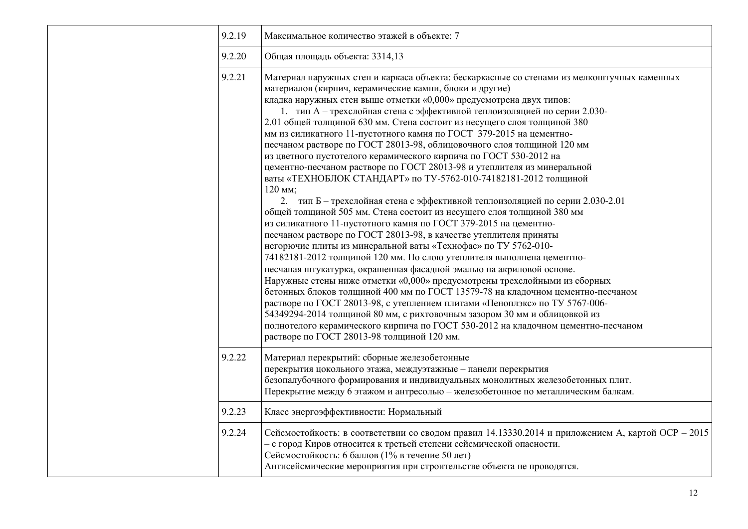| 9.2.19 | Максимальное количество этажей в объекте: 7                                                                                                                                                                                                                                                                                                                                                                                                                                                                                                                                                                                                                                                                                                                                                                                                                                                                                                                                                                                                                                                                                                                                                                                                                                                                                                                                                                                                                                                                                                                                                                                                                                                                                                              |  |  |  |
|--------|----------------------------------------------------------------------------------------------------------------------------------------------------------------------------------------------------------------------------------------------------------------------------------------------------------------------------------------------------------------------------------------------------------------------------------------------------------------------------------------------------------------------------------------------------------------------------------------------------------------------------------------------------------------------------------------------------------------------------------------------------------------------------------------------------------------------------------------------------------------------------------------------------------------------------------------------------------------------------------------------------------------------------------------------------------------------------------------------------------------------------------------------------------------------------------------------------------------------------------------------------------------------------------------------------------------------------------------------------------------------------------------------------------------------------------------------------------------------------------------------------------------------------------------------------------------------------------------------------------------------------------------------------------------------------------------------------------------------------------------------------------|--|--|--|
| 9.2.20 | Общая площадь объекта: 3314,13                                                                                                                                                                                                                                                                                                                                                                                                                                                                                                                                                                                                                                                                                                                                                                                                                                                                                                                                                                                                                                                                                                                                                                                                                                                                                                                                                                                                                                                                                                                                                                                                                                                                                                                           |  |  |  |
| 9.2.21 | Материал наружных стен и каркаса объекта: бескаркасные со стенами из мелкоштучных каменных<br>материалов (кирпич, керамические камни, блоки и другие)<br>кладка наружных стен выше отметки «0,000» предусмотрена двух типов:<br>1. тип А - трехслойная стена с эффективной теплоизоляцией по серии 2.030-<br>2.01 общей толщиной 630 мм. Стена состоит из несущего слоя толщиной 380<br>мм из силикатного 11-пустотного камня по ГОСТ 379-2015 на цементно-<br>песчаном растворе по ГОСТ 28013-98, облицовочного слоя толщиной 120 мм<br>из цветного пустотелого керамического кирпича по ГОСТ 530-2012 на<br>цементно-песчаном растворе по ГОСТ 28013-98 и утеплителя из минеральной<br>ваты «ТЕХНОБЛОК СТАНДАРТ» по ТУ-5762-010-74182181-2012 толщиной<br>120 мм;<br>2. тип Б - трехслойная стена с эффективной теплоизоляцией по серии 2.030-2.01<br>общей толщиной 505 мм. Стена состоит из несущего слоя толщиной 380 мм<br>из силикатного 11-пустотного камня по ГОСТ 379-2015 на цементно-<br>песчаном растворе по ГОСТ 28013-98, в качестве утеплителя приняты<br>негорючие плиты из минеральной ваты «Технофас» по ТУ 5762-010-<br>74182181-2012 толщиной 120 мм. По слою утеплителя выполнена цементно-<br>песчаная штукатурка, окрашенная фасадной эмалью на акриловой основе.<br>Наружные стены ниже отметки «0,000» предусмотрены трехслойными из сборных<br>бетонных блоков толщиной 400 мм по ГОСТ 13579-78 на кладочном цементно-песчаном<br>растворе по ГОСТ 28013-98, с утеплением плитами «Пеноплэкс» по ТУ 5767-006-<br>54349294-2014 толщиной 80 мм, с рихтовочным зазором 30 мм и облицовкой из<br>полнотелого керамического кирпича по ГОСТ 530-2012 на кладочном цементно-песчаном<br>растворе по ГОСТ 28013-98 толщиной 120 мм. |  |  |  |
| 9.2.22 | Материал перекрытий: сборные железобетонные<br>перекрытия цокольного этажа, междуэтажные - панели перекрытия<br>безопалубочного формирования и индивидуальных монолитных железобетонных плит.<br>Перекрытие между 6 этажом и антресолью - железобетонное по металлическим балкам.                                                                                                                                                                                                                                                                                                                                                                                                                                                                                                                                                                                                                                                                                                                                                                                                                                                                                                                                                                                                                                                                                                                                                                                                                                                                                                                                                                                                                                                                        |  |  |  |
| 9.2.23 | Класс энергоэффективности: Нормальный                                                                                                                                                                                                                                                                                                                                                                                                                                                                                                                                                                                                                                                                                                                                                                                                                                                                                                                                                                                                                                                                                                                                                                                                                                                                                                                                                                                                                                                                                                                                                                                                                                                                                                                    |  |  |  |
| 9.2.24 | Сейсмостойкость: в соответствии со сводом правил 14.13330.2014 и приложением А, картой ОСР - 2015<br>- с город Киров относится к третьей степени сейсмической опасности.<br>Сейсмостойкость: 6 баллов (1% в течение 50 лет)<br>Антисейсмические мероприятия при строительстве объекта не проводятся.                                                                                                                                                                                                                                                                                                                                                                                                                                                                                                                                                                                                                                                                                                                                                                                                                                                                                                                                                                                                                                                                                                                                                                                                                                                                                                                                                                                                                                                     |  |  |  |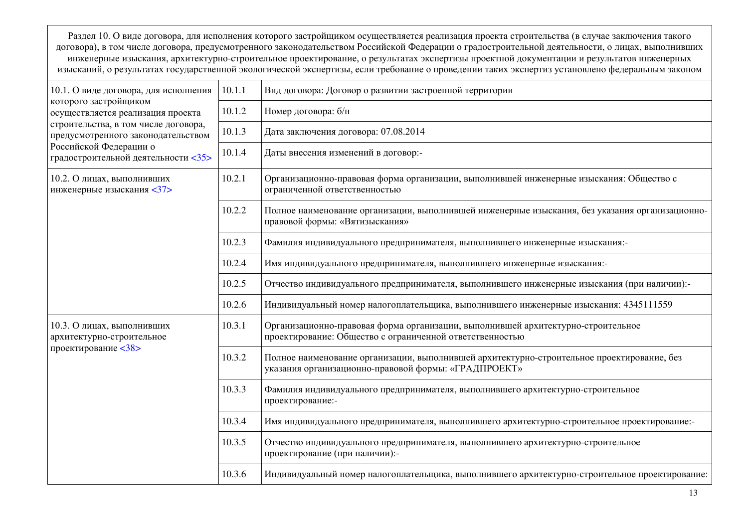Раздел 10. О виде договора, для исполнения которого застройщиком осуществляется реализация проекта строительства (в случае заключения такого договора), в том числе договора, предусмотренного законодательством Российской Федерации о градостроительной деятельности, о лицах, выполнивших инженерные изыскания, архитектурно-строительное проектирование, о результатах экспертизы проектной документации и результатов инженерных изысканий, о результатах государственной экологической экспертизы, если требование о проведении таких экспертиз установлено федеральным законом

| 10.1. О виде договора, для исполнения                                      | 10.1.1 | Вид договора: Договор о развитии застроенной территории                                                                                            |  |
|----------------------------------------------------------------------------|--------|----------------------------------------------------------------------------------------------------------------------------------------------------|--|
| которого застройщиком<br>осуществляется реализация проекта                 | 10.1.2 | Номер договора: б/н                                                                                                                                |  |
| строительства, в том числе договора,<br>предусмотренного законодательством | 10.1.3 | Дата заключения договора: 07.08.2014                                                                                                               |  |
| Российской Федерации о<br>градостроительной деятельности <35>              | 10.1.4 | Даты внесения изменений в договор:-                                                                                                                |  |
| 10.2. О лицах, выполнивших<br>инженерные изыскания <37>                    | 10.2.1 | Организационно-правовая форма организации, выполнившей инженерные изыскания: Общество с<br>ограниченной ответственностью                           |  |
|                                                                            | 10.2.2 | Полное наименование организации, выполнившей инженерные изыскания, без указания организационно-<br>правовой формы: «Вятизыскания»                  |  |
|                                                                            | 10.2.3 | Фамилия индивидуального предпринимателя, выполнившего инженерные изыскания:-                                                                       |  |
|                                                                            | 10.2.4 | Имя индивидуального предпринимателя, выполнившего инженерные изыскания:-                                                                           |  |
|                                                                            | 10.2.5 | Отчество индивидуального предпринимателя, выполнившего инженерные изыскания (при наличии):-                                                        |  |
|                                                                            | 10.2.6 | Индивидуальный номер налогоплательщика, выполнившего инженерные изыскания: 4345111559                                                              |  |
| 10.3. О лицах, выполнивших<br>архитектурно-строительное                    | 10.3.1 | Организационно-правовая форма организации, выполнившей архитектурно-строительное<br>проектирование: Общество с ограниченной ответственностью       |  |
| проектирование <38>                                                        | 10.3.2 | Полное наименование организации, выполнившей архитектурно-строительное проектирование, без<br>указания организационно-правовой формы: «ГРАДПРОЕКТ» |  |
|                                                                            | 10.3.3 | Фамилия индивидуального предпринимателя, выполнившего архитектурно-строительное<br>проектирование:-                                                |  |
|                                                                            | 10.3.4 | Имя индивидуального предпринимателя, выполнившего архитектурно-строительное проектирование:-                                                       |  |
|                                                                            | 10.3.5 | Отчество индивидуального предпринимателя, выполнившего архитектурно-строительное<br>проектирование (при наличии):-                                 |  |
|                                                                            | 10.3.6 | Индивидуальный номер налогоплательщика, выполнившего архитектурно-строительное проектирование:                                                     |  |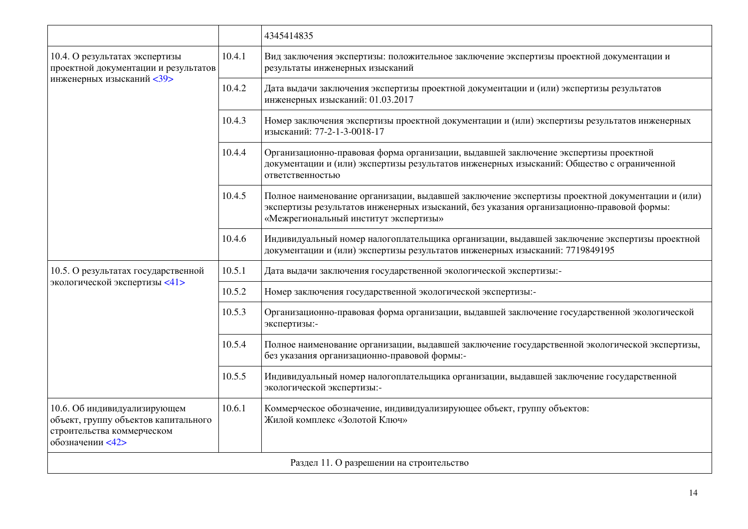|                                                                                                                        |        | 4345414835                                                                                                                                                                                                                          |  |  |  |  |  |
|------------------------------------------------------------------------------------------------------------------------|--------|-------------------------------------------------------------------------------------------------------------------------------------------------------------------------------------------------------------------------------------|--|--|--|--|--|
| 10.4. О результатах экспертизы<br>проектной документации и результатов                                                 | 10.4.1 | Вид заключения экспертизы: положительное заключение экспертизы проектной документации и<br>результаты инженерных изысканий                                                                                                          |  |  |  |  |  |
| инженерных изысканий <39>                                                                                              | 10.4.2 | Дата выдачи заключения экспертизы проектной документации и (или) экспертизы результатов<br>инженерных изысканий: 01.03.2017                                                                                                         |  |  |  |  |  |
|                                                                                                                        | 10.4.3 | Номер заключения экспертизы проектной документации и (или) экспертизы результатов инженерных<br>изысканий: 77-2-1-3-0018-17                                                                                                         |  |  |  |  |  |
|                                                                                                                        | 10.4.4 | Организационно-правовая форма организации, выдавшей заключение экспертизы проектной<br>документации и (или) экспертизы результатов инженерных изысканий: Общество с ограниченной<br>ответственностью                                |  |  |  |  |  |
|                                                                                                                        | 10.4.5 | Полное наименование организации, выдавшей заключение экспертизы проектной документации и (или)<br>экспертизы результатов инженерных изысканий, без указания организационно-правовой формы:<br>«Межрегиональный институт экспертизы» |  |  |  |  |  |
|                                                                                                                        | 10.4.6 | Индивидуальный номер налогоплательщика организации, выдавшей заключение экспертизы проектной<br>документации и (или) экспертизы результатов инженерных изысканий: 7719849195                                                        |  |  |  |  |  |
| 10.5. О результатах государственной                                                                                    | 10.5.1 | Дата выдачи заключения государственной экологической экспертизы:-                                                                                                                                                                   |  |  |  |  |  |
| экологической экспертизы <41>                                                                                          | 10.5.2 | Номер заключения государственной экологической экспертизы:-                                                                                                                                                                         |  |  |  |  |  |
|                                                                                                                        | 10.5.3 | Организационно-правовая форма организации, выдавшей заключение государственной экологической<br>экспертизы:-                                                                                                                        |  |  |  |  |  |
|                                                                                                                        | 10.5.4 | Полное наименование организации, выдавшей заключение государственной экологической экспертизы,<br>без указания организационно-правовой формы:-                                                                                      |  |  |  |  |  |
|                                                                                                                        | 10.5.5 | Индивидуальный номер налогоплательщика организации, выдавшей заключение государственной<br>экологической экспертизы:-                                                                                                               |  |  |  |  |  |
| 10.6. Об индивидуализирующем<br>объект, группу объектов капитального<br>строительства коммерческом<br>обозначении <42> | 10.6.1 | Коммерческое обозначение, индивидуализирующее объект, группу объектов:<br>Жилой комплекс «Золотой Ключ»                                                                                                                             |  |  |  |  |  |
| Раздел 11. О разрешении на строительство                                                                               |        |                                                                                                                                                                                                                                     |  |  |  |  |  |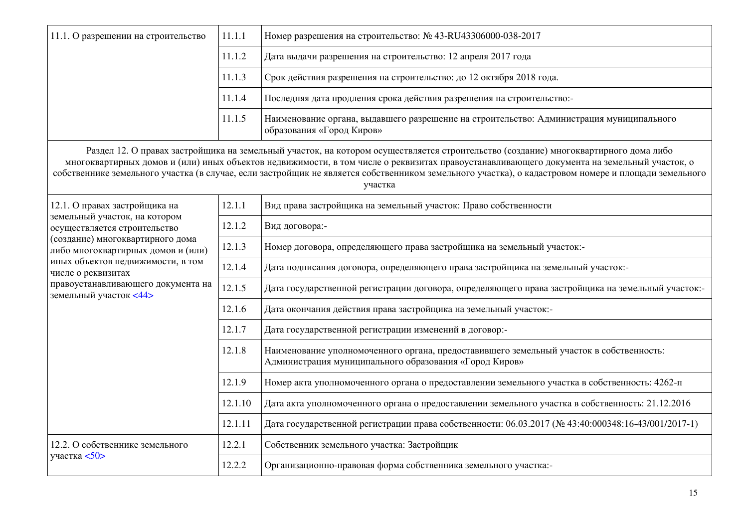| 11.1. О разрешении на строительство                                    | 11.1.1  | Номер разрешения на строительство: № 43-RU43306000-038-2017                                                                                                                                                                                                                                                                                                                                                                                         |  |  |  |  |
|------------------------------------------------------------------------|---------|-----------------------------------------------------------------------------------------------------------------------------------------------------------------------------------------------------------------------------------------------------------------------------------------------------------------------------------------------------------------------------------------------------------------------------------------------------|--|--|--|--|
|                                                                        | 11.1.2  | Дата выдачи разрешения на строительство: 12 апреля 2017 года                                                                                                                                                                                                                                                                                                                                                                                        |  |  |  |  |
|                                                                        | 11.1.3  | Срок действия разрешения на строительство: до 12 октября 2018 года.                                                                                                                                                                                                                                                                                                                                                                                 |  |  |  |  |
|                                                                        | 11.1.4  | Последняя дата продления срока действия разрешения на строительство:-                                                                                                                                                                                                                                                                                                                                                                               |  |  |  |  |
|                                                                        | 11.1.5  | Наименование органа, выдавшего разрешение на строительство: Администрация муниципального<br>образования «Город Киров»                                                                                                                                                                                                                                                                                                                               |  |  |  |  |
|                                                                        |         | Раздел 12. О правах застройщика на земельный участок, на котором осуществляется строительство (создание) многоквартирного дома либо<br>многоквартирных домов и (или) иных объектов недвижимости, в том числе о реквизитах правоустанавливающего документа на земельный участок, о<br>собственнике земельного участка (в случае, если застройщик не является собственником земельного участка), о кадастровом номере и площади земельного<br>участка |  |  |  |  |
| 12.1. О правах застройщика на                                          | 12.1.1  | Вид права застройщика на земельный участок: Право собственности                                                                                                                                                                                                                                                                                                                                                                                     |  |  |  |  |
| земельный участок, на котором<br>осуществляется строительство          | 12.1.2  | Вид договора:-                                                                                                                                                                                                                                                                                                                                                                                                                                      |  |  |  |  |
| (создание) многоквартирного дома<br>либо многоквартирных домов и (или) | 12.1.3  | Номер договора, определяющего права застройщика на земельный участок:-                                                                                                                                                                                                                                                                                                                                                                              |  |  |  |  |
| иных объектов недвижимости, в том<br>числе о реквизитах                | 12.1.4  | Дата подписания договора, определяющего права застройщика на земельный участок:-                                                                                                                                                                                                                                                                                                                                                                    |  |  |  |  |
| правоустанавливающего документа на<br>земельный участок <44>           | 12.1.5  | Дата государственной регистрации договора, определяющего права застройщика на земельный участок:-                                                                                                                                                                                                                                                                                                                                                   |  |  |  |  |
|                                                                        | 12.1.6  | Дата окончания действия права застройщика на земельный участок:-                                                                                                                                                                                                                                                                                                                                                                                    |  |  |  |  |
|                                                                        | 12.1.7  | Дата государственной регистрации изменений в договор:-                                                                                                                                                                                                                                                                                                                                                                                              |  |  |  |  |
|                                                                        | 12.1.8  | Наименование уполномоченного органа, предоставившего земельный участок в собственность:<br>Администрация муниципального образования «Город Киров»                                                                                                                                                                                                                                                                                                   |  |  |  |  |
|                                                                        | 12.1.9  | Номер акта уполномоченного органа о предоставлении земельного участка в собственность: 4262-п                                                                                                                                                                                                                                                                                                                                                       |  |  |  |  |
|                                                                        | 12.1.10 | Дата акта уполномоченного органа о предоставлении земельного участка в собственность: 21.12.2016                                                                                                                                                                                                                                                                                                                                                    |  |  |  |  |
|                                                                        | 12.1.11 | Дата государственной регистрации права собственности: 06.03.2017 (№ 43:40:000348:16-43/001/2017-1)                                                                                                                                                                                                                                                                                                                                                  |  |  |  |  |
| 12.2. О собственнике земельного                                        | 12.2.1  | Собственник земельного участка: Застройщик                                                                                                                                                                                                                                                                                                                                                                                                          |  |  |  |  |
| участка $50$                                                           | 12.2.2  | Организационно-правовая форма собственника земельного участка:-                                                                                                                                                                                                                                                                                                                                                                                     |  |  |  |  |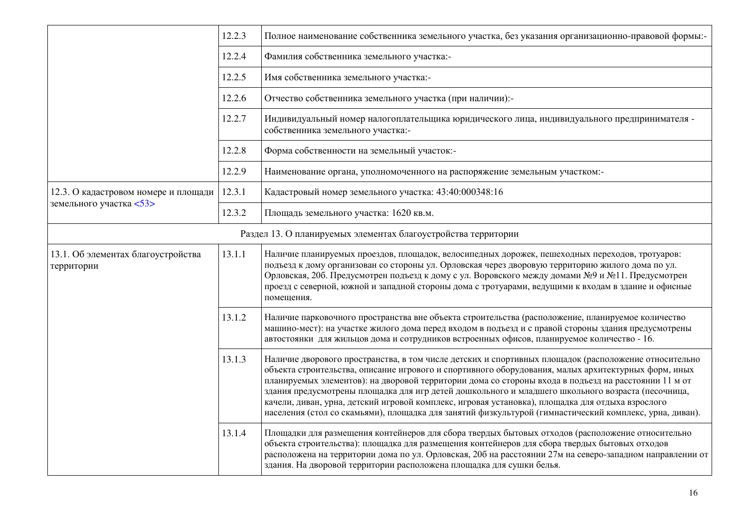|                                                  | 12.2.3 | Полное наименование собственника земельного участка, без указания организационно-правовой формы:-                                                                                                                                                                                                                                                                                                                                                                                                                                                                                                                                       |  |  |  |  |
|--------------------------------------------------|--------|-----------------------------------------------------------------------------------------------------------------------------------------------------------------------------------------------------------------------------------------------------------------------------------------------------------------------------------------------------------------------------------------------------------------------------------------------------------------------------------------------------------------------------------------------------------------------------------------------------------------------------------------|--|--|--|--|
|                                                  | 12.2.4 | Фамилия собственника земельного участка:-                                                                                                                                                                                                                                                                                                                                                                                                                                                                                                                                                                                               |  |  |  |  |
|                                                  | 12.2.5 | Имя собственника земельного участка:-                                                                                                                                                                                                                                                                                                                                                                                                                                                                                                                                                                                                   |  |  |  |  |
|                                                  | 12.2.6 | Отчество собственника земельного участка (при наличии):-                                                                                                                                                                                                                                                                                                                                                                                                                                                                                                                                                                                |  |  |  |  |
|                                                  | 12.2.7 | Индивидуальный номер налогоплательщика юридического лица, индивидуального предпринимателя -<br>собственника земельного участка:-                                                                                                                                                                                                                                                                                                                                                                                                                                                                                                        |  |  |  |  |
|                                                  | 12.2.8 | Форма собственности на земельный участок:-                                                                                                                                                                                                                                                                                                                                                                                                                                                                                                                                                                                              |  |  |  |  |
|                                                  | 12.2.9 | Наименование органа, уполномоченного на распоряжение земельным участком:-                                                                                                                                                                                                                                                                                                                                                                                                                                                                                                                                                               |  |  |  |  |
| 12.3. О кадастровом номере и площади             | 12.3.1 | Кадастровый номер земельного участка: 43:40:000348:16                                                                                                                                                                                                                                                                                                                                                                                                                                                                                                                                                                                   |  |  |  |  |
| земельного участка <53>                          | 12.3.2 | Площадь земельного участка: 1620 кв.м.                                                                                                                                                                                                                                                                                                                                                                                                                                                                                                                                                                                                  |  |  |  |  |
|                                                  |        | Раздел 13. О планируемых элементах благоустройства территории                                                                                                                                                                                                                                                                                                                                                                                                                                                                                                                                                                           |  |  |  |  |
| 13.1. Об элементах благоустройства<br>территории | 13.1.1 | Наличие планируемых проездов, площадок, велосипедных дорожек, пешеходных переходов, тротуаров:<br>подъезд к дому организован со стороны ул. Орловская через дворовую территорию жилого дома по ул.<br>Орловская, 20б. Предусмотрен подъезд к дому с ул. Воровского между домами №9 и №11. Предусмотрен<br>проезд с северной, южной и западной стороны дома с тротуарами, ведущими к входам в здание и офисные<br>помещения.                                                                                                                                                                                                             |  |  |  |  |
|                                                  | 13.1.2 | Наличие парковочного пространства вне объекта строительства (расположение, планируемое количество<br>машино-мест): на участке жилого дома перед входом в подъезд и с правой стороны здания предусмотрены<br>автостоянки для жильцов дома и сотрудников встроенных офисов, планируемое количество - 16.                                                                                                                                                                                                                                                                                                                                  |  |  |  |  |
|                                                  | 13.1.3 | Наличие дворового пространства, в том числе детских и спортивных площадок (расположение относительно<br>объекта строительства, описание игрового и спортивного оборудования, малых архитектурных форм, иных<br>планируемых элементов): на дворовой территории дома со стороны входа в подъезд на расстоянии 11 м от<br>здания предусмотрены площадка для игр детей дошкольного и младшего школьного возраста (песочница,<br>качели, диван, урна, детский игровой комплекс, игровая установка), площадка для отдыха взрослого<br>населения (стол со скамьями), площадка для занятий физкультурой (гимнастический комплекс, урна, диван). |  |  |  |  |
|                                                  | 13.1.4 | Площадки для размещения контейнеров для сбора твердых бытовых отходов (расположение относительно<br>объекта строительства): площадка для размещения контейнеров для сбора твердых бытовых отходов<br>расположена на территории дома по ул. Орловская, 20б на расстоянии 27м на северо-западном направлении от<br>здания. На дворовой территории расположена площадка для сушки белья.                                                                                                                                                                                                                                                   |  |  |  |  |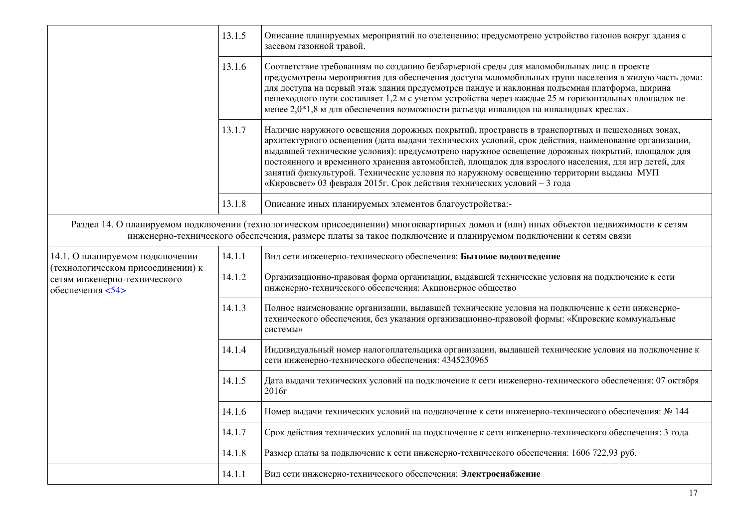|                                                                                       | 13.1.5 | Описание планируемых мероприятий по озеленению: предусмотрено устройство газонов вокруг здания с<br>засевом газонной травой.                                                                                                                                                                                                                                                                                                                                                                                                                                                         |  |  |  |  |  |
|---------------------------------------------------------------------------------------|--------|--------------------------------------------------------------------------------------------------------------------------------------------------------------------------------------------------------------------------------------------------------------------------------------------------------------------------------------------------------------------------------------------------------------------------------------------------------------------------------------------------------------------------------------------------------------------------------------|--|--|--|--|--|
|                                                                                       | 13.1.6 | Соответствие требованиям по созданию безбарьерной среды для маломобильных лиц: в проекте<br>предусмотрены мероприятия для обеспечения доступа маломобильных групп населения в жилую часть дома:<br>для доступа на первый этаж здания предусмотрен пандус и наклонная подъемная платформа, ширина<br>пешеходного пути составляет 1,2 м с учетом устройства через каждые 25 м горизонтальных площадок не<br>менее 2,0*1,8 м для обеспечения возможности разъезда инвалидов на инвалидных креслах.                                                                                      |  |  |  |  |  |
|                                                                                       | 13.1.7 | Наличие наружного освещения дорожных покрытий, пространств в транспортных и пешеходных зонах,<br>архитектурного освещения (дата выдачи технических условий, срок действия, наименование организации,<br>выдавшей технические условия): предусмотрено наружное освещение дорожных покрытий, площадок для<br>постоянного и временного хранения автомобилей, площадок для взрослого населения, для игр детей, для<br>занятий физкультурой. Технические условия по наружному освещению территории выданы МУП<br>«Кировсвет» 03 февраля 2015г. Срок действия технических условий - 3 года |  |  |  |  |  |
|                                                                                       | 13.1.8 | Описание иных планируемых элементов благоустройства:-                                                                                                                                                                                                                                                                                                                                                                                                                                                                                                                                |  |  |  |  |  |
|                                                                                       |        | Раздел 14. О планируемом подключении (технологическом присоединении) многоквартирных домов и (или) иных объектов недвижимости к сетям<br>инженерно-технического обеспечения, размере платы за такое подключение и планируемом подключении к сетям связи                                                                                                                                                                                                                                                                                                                              |  |  |  |  |  |
| 14.1. О планируемом подключении                                                       | 14.1.1 | Вид сети инженерно-технического обеспечения: Бытовое водоотведение                                                                                                                                                                                                                                                                                                                                                                                                                                                                                                                   |  |  |  |  |  |
| (технологическом присоединении) к<br>сетям инженерно-технического<br>обеспечения <54> | 14.1.2 | Организационно-правовая форма организации, выдавшей технические условия на подключение к сети<br>инженерно-технического обеспечения: Акционерное общество                                                                                                                                                                                                                                                                                                                                                                                                                            |  |  |  |  |  |
|                                                                                       | 14.1.3 | Полное наименование организации, выдавшей технические условия на подключение к сети инженерно-<br>технического обеспечения, без указания организационно-правовой формы: «Кировские коммунальные<br>системы»                                                                                                                                                                                                                                                                                                                                                                          |  |  |  |  |  |
|                                                                                       | 14.1.4 | Индивидуальный номер налогоплательщика организации, выдавшей технические условия на подключение к<br>сети инженерно-технического обеспечения: 4345230965                                                                                                                                                                                                                                                                                                                                                                                                                             |  |  |  |  |  |
|                                                                                       | 14.1.5 | Дата выдачи технических условий на подключение к сети инженерно-технического обеспечения: 07 октября<br>2016r                                                                                                                                                                                                                                                                                                                                                                                                                                                                        |  |  |  |  |  |
|                                                                                       | 14.1.6 | Номер выдачи технических условий на подключение к сети инженерно-технического обеспечения: № 144                                                                                                                                                                                                                                                                                                                                                                                                                                                                                     |  |  |  |  |  |
|                                                                                       | 14.1.7 | Срок действия технических условий на подключение к сети инженерно-технического обеспечения: 3 года                                                                                                                                                                                                                                                                                                                                                                                                                                                                                   |  |  |  |  |  |
|                                                                                       | 14.1.8 | Размер платы за подключение к сети инженерно-технического обеспечения: 1606 722,93 руб.                                                                                                                                                                                                                                                                                                                                                                                                                                                                                              |  |  |  |  |  |
|                                                                                       | 14.1.1 | Вид сети инженерно-технического обеспечения: Электроснабжение                                                                                                                                                                                                                                                                                                                                                                                                                                                                                                                        |  |  |  |  |  |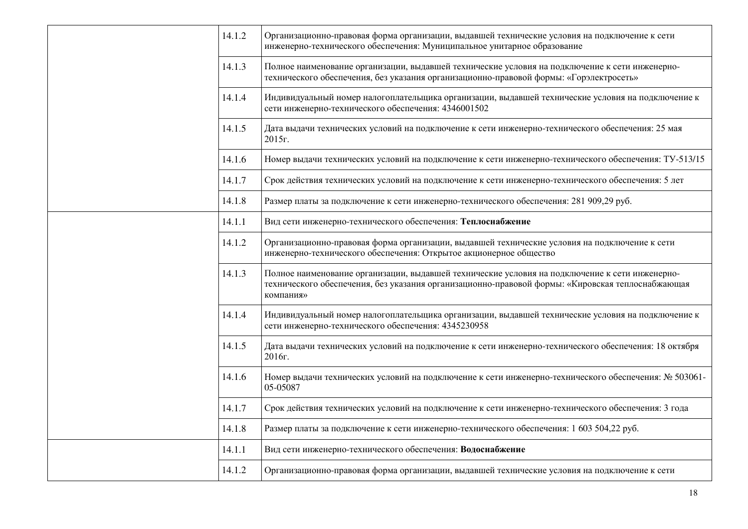| 14.1.2 | Организационно-правовая форма организации, выдавшей технические условия на подключение к сети<br>инженерно-технического обеспечения: Муниципальное унитарное образование                                        |
|--------|-----------------------------------------------------------------------------------------------------------------------------------------------------------------------------------------------------------------|
| 14.1.3 | Полное наименование организации, выдавшей технические условия на подключение к сети инженерно-<br>технического обеспечения, без указания организационно-правовой формы: «Горэлектросеть»                        |
| 14.1.4 | Индивидуальный номер налогоплательщика организации, выдавшей технические условия на подключение к<br>сети инженерно-технического обеспечения: 4346001502                                                        |
| 14.1.5 | Дата выдачи технических условий на подключение к сети инженерно-технического обеспечения: 25 мая<br>2015г.                                                                                                      |
| 14.1.6 | Номер выдачи технических условий на подключение к сети инженерно-технического обеспечения: ТУ-513/15                                                                                                            |
| 14.1.7 | Срок действия технических условий на подключение к сети инженерно-технического обеспечения: 5 лет                                                                                                               |
| 14.1.8 | Размер платы за подключение к сети инженерно-технического обеспечения: 281 909,29 руб.                                                                                                                          |
| 14.1.1 | Вид сети инженерно-технического обеспечения: Теплоснабжение                                                                                                                                                     |
| 14.1.2 | Организационно-правовая форма организации, выдавшей технические условия на подключение к сети<br>инженерно-технического обеспечения: Открытое акционерное общество                                              |
| 14.1.3 | Полное наименование организации, выдавшей технические условия на подключение к сети инженерно-<br>технического обеспечения, без указания организационно-правовой формы: «Кировская теплоснабжающая<br>компания» |
| 14.1.4 | Индивидуальный номер налогоплательщика организации, выдавшей технические условия на подключение к<br>сети инженерно-технического обеспечения: 4345230958                                                        |
| 14.1.5 | Дата выдачи технических условий на подключение к сети инженерно-технического обеспечения: 18 октября<br>2016г.                                                                                                  |
| 14.1.6 | Номер выдачи технических условий на подключение к сети инженерно-технического обеспечения: № 503061-<br>05-05087                                                                                                |
| 14.1.7 | Срок действия технических условий на подключение к сети инженерно-технического обеспечения: 3 года                                                                                                              |
| 14.1.8 | Размер платы за подключение к сети инженерно-технического обеспечения: 1 603 504,22 руб.                                                                                                                        |
| 14.1.1 | Вид сети инженерно-технического обеспечения: Водоснабжение                                                                                                                                                      |
| 14.1.2 | Организационно-правовая форма организации, выдавшей технические условия на подключение к сети                                                                                                                   |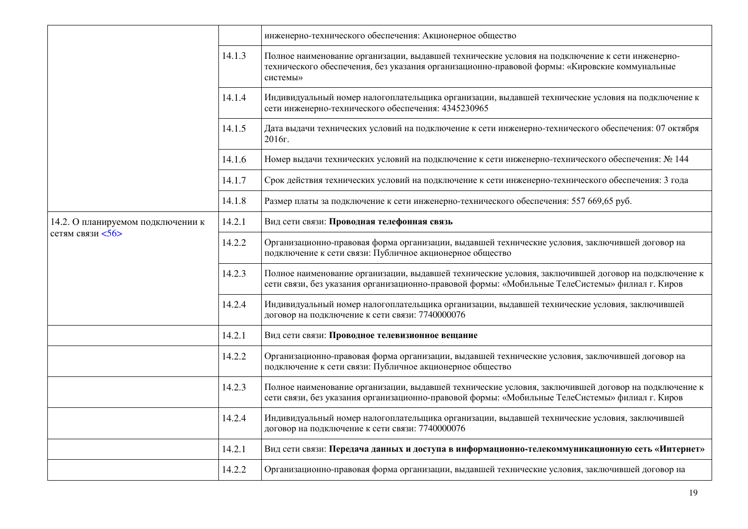|                                                       |        | инженерно-технического обеспечения: Акционерное общество                                                                                                                                                    |
|-------------------------------------------------------|--------|-------------------------------------------------------------------------------------------------------------------------------------------------------------------------------------------------------------|
|                                                       | 14.1.3 | Полное наименование организации, выдавшей технические условия на подключение к сети инженерно-<br>технического обеспечения, без указания организационно-правовой формы: «Кировские коммунальные<br>системы» |
|                                                       | 14.1.4 | Индивидуальный номер налогоплательщика организации, выдавшей технические условия на подключение к<br>сети инженерно-технического обеспечения: 4345230965                                                    |
|                                                       | 14.1.5 | Дата выдачи технических условий на подключение к сети инженерно-технического обеспечения: 07 октября<br>2016г.                                                                                              |
|                                                       | 14.1.6 | Номер выдачи технических условий на подключение к сети инженерно-технического обеспечения: № 144                                                                                                            |
|                                                       | 14.1.7 | Срок действия технических условий на подключение к сети инженерно-технического обеспечения: 3 года                                                                                                          |
|                                                       | 14.1.8 | Размер платы за подключение к сети инженерно-технического обеспечения: 557 669,65 руб.                                                                                                                      |
| 14.2. О планируемом подключении к<br>сетям связи <56> | 14.2.1 | Вид сети связи: Проводная телефонная связь                                                                                                                                                                  |
|                                                       | 14.2.2 | Организационно-правовая форма организации, выдавшей технические условия, заключившей договор на<br>подключение к сети связи: Публичное акционерное общество                                                 |
|                                                       | 14.2.3 | Полное наименование организации, выдавшей технические условия, заключившей договор на подключение к<br>сети связи, без указания организационно-правовой формы: «Мобильные ТелеСистемы» филиал г. Киров      |
|                                                       | 14.2.4 | Индивидуальный номер налогоплательщика организации, выдавшей технические условия, заключившей<br>договор на подключение к сети связи: 7740000076                                                            |
|                                                       | 14.2.1 | Вид сети связи: Проводное телевизионное вещание                                                                                                                                                             |
|                                                       | 14.2.2 | Организационно-правовая форма организации, выдавшей технические условия, заключившей договор на<br>подключение к сети связи: Публичное акционерное общество                                                 |
|                                                       | 14.2.3 | Полное наименование организации, выдавшей технические условия, заключившей договор на подключение к<br>сети связи, без указания организационно-правовой формы: «Мобильные ТелеСистемы» филиал г. Киров      |
|                                                       | 14.2.4 | Индивидуальный номер налогоплательщика организации, выдавшей технические условия, заключившей<br>договор на подключение к сети связи: 7740000076                                                            |
|                                                       | 14.2.1 | Вид сети связи: Передача данных и доступа в информационно-телекоммуникационную сеть «Интернет»                                                                                                              |
|                                                       | 14.2.2 | Организационно-правовая форма организации, выдавшей технические условия, заключившей договор на                                                                                                             |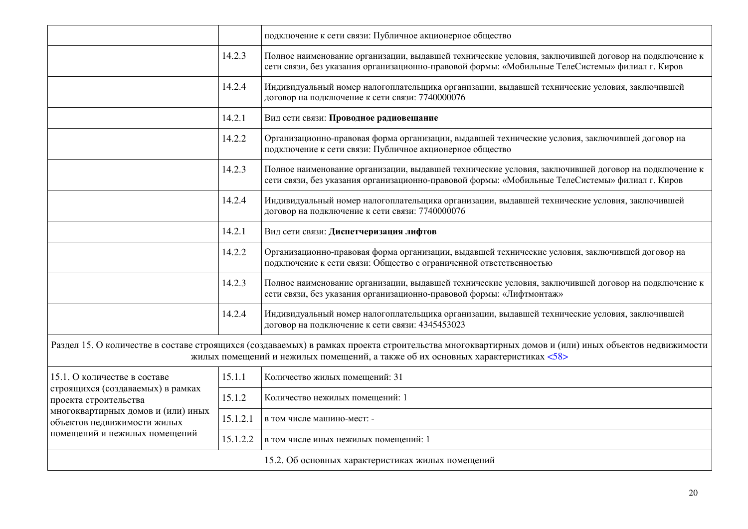|                                                                                                                                 |          | подключение к сети связи: Публичное акционерное общество                                                                                                                                                                               |  |  |  |  |  |
|---------------------------------------------------------------------------------------------------------------------------------|----------|----------------------------------------------------------------------------------------------------------------------------------------------------------------------------------------------------------------------------------------|--|--|--|--|--|
|                                                                                                                                 | 14.2.3   | Полное наименование организации, выдавшей технические условия, заключившей договор на подключение к<br>сети связи, без указания организационно-правовой формы: «Мобильные ТелеСистемы» филиал г. Киров                                 |  |  |  |  |  |
|                                                                                                                                 | 14.2.4   | Индивидуальный номер налогоплательщика организации, выдавшей технические условия, заключившей<br>договор на подключение к сети связи: 7740000076                                                                                       |  |  |  |  |  |
|                                                                                                                                 | 14.2.1   | Вид сети связи: Проводное радиовещание                                                                                                                                                                                                 |  |  |  |  |  |
|                                                                                                                                 | 14.2.2   | Организационно-правовая форма организации, выдавшей технические условия, заключившей договор на<br>подключение к сети связи: Публичное акционерное общество                                                                            |  |  |  |  |  |
|                                                                                                                                 | 14.2.3   | Полное наименование организации, выдавшей технические условия, заключившей договор на подключение к<br>сети связи, без указания организационно-правовой формы: «Мобильные ТелеСистемы» филиал г. Киров                                 |  |  |  |  |  |
|                                                                                                                                 | 14.2.4   | Индивидуальный номер налогоплательщика организации, выдавшей технические условия, заключившей<br>договор на подключение к сети связи: 7740000076                                                                                       |  |  |  |  |  |
|                                                                                                                                 | 14.2.1   | Вид сети связи: Диспетчеризация лифтов                                                                                                                                                                                                 |  |  |  |  |  |
|                                                                                                                                 | 14.2.2   | Организационно-правовая форма организации, выдавшей технические условия, заключившей договор на<br>подключение к сети связи: Общество с ограниченной ответственностью                                                                  |  |  |  |  |  |
|                                                                                                                                 | 14.2.3   | Полное наименование организации, выдавшей технические условия, заключившей договор на подключение к<br>сети связи, без указания организационно-правовой формы: «Лифтмонтаж»                                                            |  |  |  |  |  |
|                                                                                                                                 | 14.2.4   | Индивидуальный номер налогоплательщика организации, выдавшей технические условия, заключившей<br>договор на подключение к сети связи: 4345453023                                                                                       |  |  |  |  |  |
|                                                                                                                                 |          | Раздел 15. О количестве в составе строящихся (создаваемых) в рамках проекта строительства многоквартирных домов и (или) иных объектов недвижимости<br>жилых помещений и нежилых помещений, а также об их основных характеристиках <58> |  |  |  |  |  |
| 15.1. О количестве в составе                                                                                                    | 15.1.1   | Количество жилых помещений: 31                                                                                                                                                                                                         |  |  |  |  |  |
| строящихся (создаваемых) в рамках<br>проекта строительства<br>многоквартирных домов и (или) иных<br>объектов недвижимости жилых | 15.1.2   | Количество нежилых помещений: 1                                                                                                                                                                                                        |  |  |  |  |  |
|                                                                                                                                 | 15.1.2.1 | в том числе машино-мест: -                                                                                                                                                                                                             |  |  |  |  |  |
| помещений и нежилых помещений                                                                                                   | 15.1.2.2 | в том числе иных нежилых помещений: 1                                                                                                                                                                                                  |  |  |  |  |  |
|                                                                                                                                 |          | 15.2. Об основных характеристиках жилых помещений                                                                                                                                                                                      |  |  |  |  |  |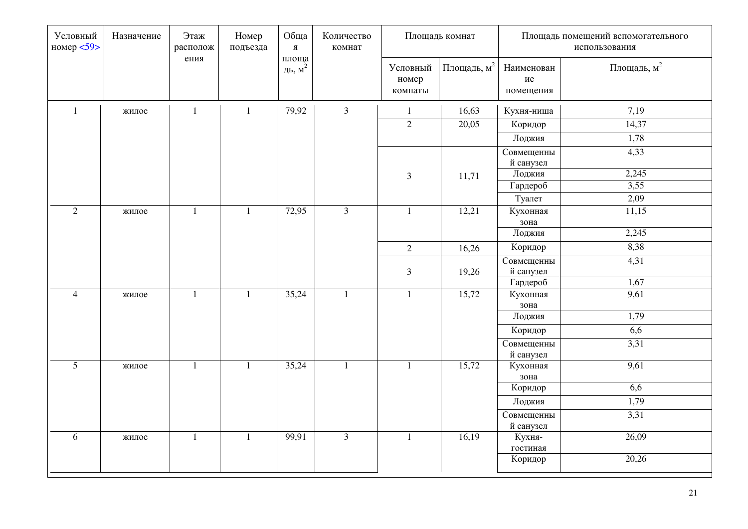| Условный<br>номер $<$ 59> | Назначение | Этаж<br>располож | Номер<br>подъезда | Обща<br>$\mathbf{R}$ | Количество<br>комнат |                              | Площадь комнат        |                               | Площадь помещений вспомогательного<br>использования |
|---------------------------|------------|------------------|-------------------|----------------------|----------------------|------------------------------|-----------------------|-------------------------------|-----------------------------------------------------|
|                           |            | ения             |                   | площа<br>ДЬ, $M^2$   |                      | Условный<br>номер<br>комнаты | Площадь, $\text{m}^2$ | Наименован<br>ие<br>помещения | Площадь, $M^2$                                      |
| $\mathbf{1}$              | жилое      | $\mathbf{1}$     | $\mathbf{1}$      | 79,92                | $\overline{3}$       | $\mathbf{1}$                 | 16,63                 | Кухня-ниша                    | 7,19                                                |
|                           |            |                  |                   |                      |                      | $\overline{2}$               | 20,05                 | Коридор                       | 14,37                                               |
|                           |            |                  |                   |                      |                      |                              |                       | Лоджия                        | 1,78                                                |
|                           |            |                  |                   |                      |                      |                              |                       | Совмещенны<br>й санузел       | 4,33                                                |
|                           |            |                  |                   |                      |                      | $\mathfrak{Z}$               | 11,71                 | Лоджия                        | 2,245                                               |
|                           |            |                  |                   |                      |                      |                              |                       | Гардероб                      | 3,55                                                |
|                           |            |                  |                   |                      |                      |                              |                       | Туалет                        | 2,09                                                |
| $\overline{2}$            | жилое      | $\mathbf{1}$     | $\mathbf{1}$      | 72,95                | $\overline{3}$       | $\mathbf{1}$                 | 12,21                 | Кухонная                      | 11,15                                               |
|                           |            |                  |                   |                      |                      |                              |                       | зона                          |                                                     |
|                           |            |                  |                   |                      |                      |                              |                       | Лоджия                        | 2,245                                               |
|                           |            |                  |                   |                      |                      | $\overline{2}$               | 16,26                 | Коридор                       | 8,38                                                |
|                           |            |                  |                   |                      |                      | $\mathfrak{Z}$               | 19,26                 | Совмещенны<br>й санузел       | 4,31                                                |
|                           |            |                  |                   |                      |                      |                              |                       | Гардероб                      | 1,67                                                |
| $\overline{4}$            | жилое      | $\mathbf{1}$     | $\mathbf{1}$      | 35,24                | $\mathbf{1}$         | $\mathbf{1}$                 | 15,72                 | Кухонная<br>зона              | 9,61                                                |
|                           |            |                  |                   |                      |                      |                              |                       | Лоджия                        | 1,79                                                |
|                           |            |                  |                   |                      |                      |                              |                       | Коридор                       | 6,6                                                 |
|                           |            |                  |                   |                      |                      |                              |                       | Совмещенны<br>й санузел       | 3,31                                                |
| 5 <sup>5</sup>            | жилое      | $\mathbf{1}$     | $\mathbf{1}$      | 35,24                | $\mathbf{1}$         | $\mathbf{1}$                 | 15,72                 | Кухонная<br>зона              | 9,61                                                |
|                           |            |                  |                   |                      |                      |                              |                       | Коридор                       | 6,6                                                 |
|                           |            |                  |                   |                      |                      |                              |                       | Лоджия                        | 1,79                                                |
|                           |            |                  |                   |                      |                      |                              |                       | Совмещенны                    | 3,31                                                |
|                           |            |                  |                   |                      |                      |                              |                       | й санузел                     |                                                     |
| 6                         | жилое      | $\mathbf{1}$     | $\mathbf{1}$      | 99,91                | $\overline{3}$       | $\mathbf{1}$                 | 16,19                 | Кухня-                        | 26,09                                               |
|                           |            |                  |                   |                      |                      |                              |                       | гостиная                      |                                                     |
|                           |            |                  |                   |                      |                      |                              |                       | Коридор                       | 20,26                                               |
|                           |            |                  |                   |                      |                      |                              |                       |                               |                                                     |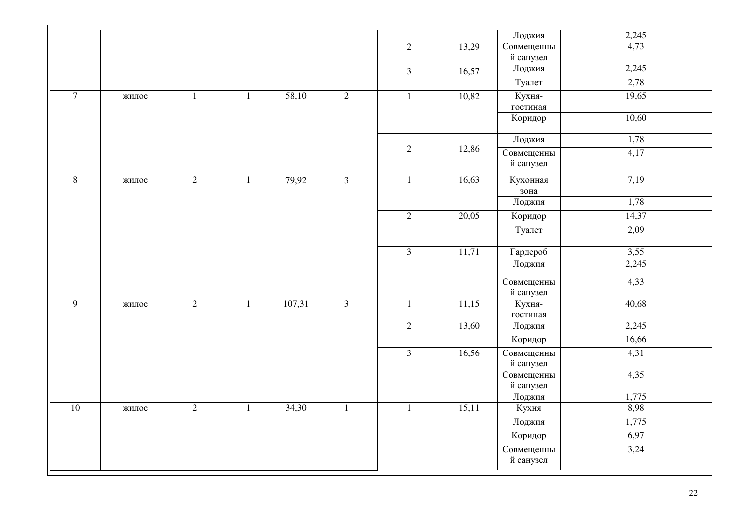|                 |                       |                |              |        |                |                |       | Лоджия                  | 2,245 |
|-----------------|-----------------------|----------------|--------------|--------|----------------|----------------|-------|-------------------------|-------|
|                 |                       |                |              |        |                | $\overline{2}$ | 13,29 | Совмещенны<br>й санузел | 4,73  |
|                 |                       |                |              |        |                | $\overline{3}$ | 16,57 | Лоджия                  | 2,245 |
|                 |                       |                |              |        |                |                |       | Туалет                  | 2,78  |
| $\overline{7}$  | $\mathbf{1}$<br>жилое |                | $\mathbf{1}$ | 58,10  | $\overline{2}$ | $\mathbf{1}$   | 10,82 | Кухня-<br>гостиная      | 19,65 |
|                 |                       |                |              |        |                |                |       | Коридор                 | 10,60 |
|                 |                       |                |              |        |                |                |       | Лоджия                  | 1,78  |
|                 |                       |                |              |        |                | 2              | 12,86 | Совмещенны<br>й санузел | 4,17  |
| $\, 8$          | жилое                 | 2              | $1\,$        | 79,92  | $\overline{3}$ | $\mathbf{1}$   | 16,63 | Кухонная<br>зона        | 7,19  |
|                 |                       |                |              |        |                |                |       | Лоджия                  | 1,78  |
|                 |                       |                |              |        |                | $\overline{2}$ | 20,05 | Коридор                 | 14,37 |
|                 |                       |                |              |        |                |                |       | Туалет                  | 2,09  |
|                 |                       |                |              |        |                | $\overline{3}$ | 11,71 | Гардероб                | 3,55  |
|                 |                       |                |              |        |                |                |       | Лоджия                  | 2,245 |
|                 |                       |                |              |        |                |                |       | Совмещенны<br>й санузел | 4,33  |
| $\overline{9}$  | жилое                 | 2              | $\mathbf{1}$ | 107,31 | $\overline{3}$ | $\mathbf{1}$   | 11,15 | Кухня-<br>гостиная      | 40,68 |
|                 |                       |                |              |        |                | $\overline{2}$ | 13,60 | Лоджия                  | 2,245 |
|                 |                       |                |              |        |                |                |       | Коридор                 | 16,66 |
|                 |                       |                |              |        |                | $\overline{3}$ | 16,56 | Совмещенны<br>й санузел | 4,31  |
|                 |                       |                |              |        |                |                |       | Совмещенны<br>й санузел | 4,35  |
|                 |                       |                |              |        |                |                |       | Лоджия                  | 1,775 |
| $\overline{10}$ | жилое                 | $\overline{2}$ | $\mathbf{1}$ | 34,30  | $\mathbf{1}$   | $\mathbf{1}$   | 15,11 | Кухня                   | 8,98  |
|                 |                       |                |              |        |                |                |       | Лоджия                  | 1,775 |
|                 |                       |                |              |        |                |                |       | Коридор                 | 6,97  |
|                 |                       |                |              |        |                |                |       | Совмещенны<br>й санузел | 3,24  |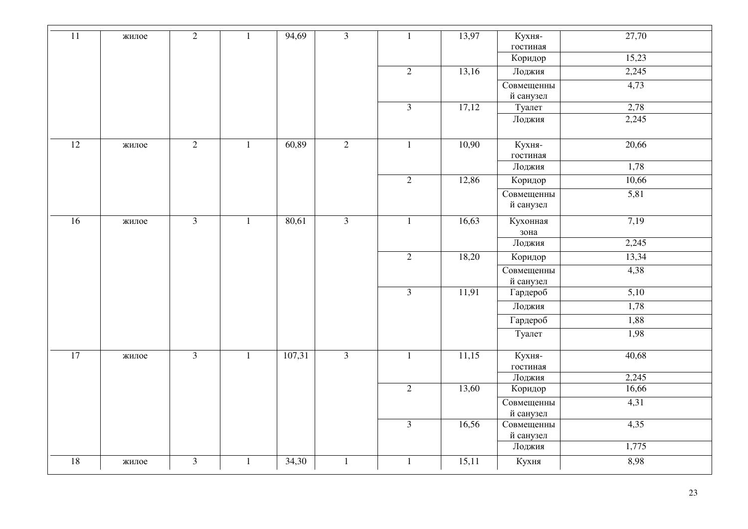| $11\,$          | жилое | $\overline{2}$ | $\mathbf{1}$ | 94,69  | $\mathfrak{Z}$ | $\mathbf{1}$   | 13,97 | Кухня-             | 27,70 |
|-----------------|-------|----------------|--------------|--------|----------------|----------------|-------|--------------------|-------|
|                 |       |                |              |        |                |                |       | гостиная           |       |
|                 |       |                |              |        |                |                |       | Коридор            | 15,23 |
|                 |       |                |              |        |                | $\overline{2}$ | 13,16 | Лоджия             | 2,245 |
|                 |       |                |              |        |                |                |       | Совмещенны         | 4,73  |
|                 |       |                |              |        |                |                |       | й санузел          |       |
|                 |       |                |              |        |                | $\overline{3}$ | 17,12 | Туалет             | 2,78  |
|                 |       |                |              |        |                |                |       | Лоджия             | 2,245 |
|                 |       |                |              |        |                |                |       |                    |       |
| $\overline{12}$ | жилое | $\overline{2}$ | $\mathbf{1}$ | 60,89  | $\overline{2}$ | $\mathbf{1}$   | 10,90 | Кухня-             | 20,66 |
|                 |       |                |              |        |                |                |       | гостиная           |       |
|                 |       |                |              |        |                |                |       | Лоджия             | 1,78  |
|                 |       |                |              |        |                | $\overline{2}$ | 12,86 | Коридор            | 10,66 |
|                 |       |                |              |        |                |                |       | Совмещенны         | 5,81  |
|                 |       |                |              |        |                |                |       | й санузел          |       |
| $\overline{16}$ | жилое | $\overline{3}$ | $\mathbf{1}$ | 80,61  | $\overline{3}$ | $\mathbf{1}$   | 16,63 | Кухонная           | 7,19  |
|                 |       |                |              |        |                |                |       | зона               |       |
|                 |       |                |              |        |                |                |       | Лоджия             | 2,245 |
|                 |       |                |              |        |                | $\overline{2}$ | 18,20 | Коридор            | 13,34 |
|                 |       |                |              |        |                |                |       | Совмещенны         | 4,38  |
|                 |       |                |              |        |                |                |       | й санузел          |       |
|                 |       |                |              |        |                | $\overline{3}$ | 11,91 | Гардероб           | 5,10  |
|                 |       |                |              |        |                |                |       | Лоджия             | 1,78  |
|                 |       |                |              |        |                |                |       | Гардероб           | 1,88  |
|                 |       |                |              |        |                |                |       | Туалет             | 1,98  |
|                 |       |                |              |        |                |                |       |                    |       |
| $\overline{17}$ | жилое | $\mathfrak{Z}$ | $\mathbf{1}$ | 107,31 | $\overline{3}$ | $\mathbf{1}$   | 11,15 | Кухня-             | 40,68 |
|                 |       |                |              |        |                |                |       | гостиная<br>Лоджия | 2,245 |
|                 |       |                |              |        |                | $\overline{2}$ | 13,60 |                    | 16,66 |
|                 |       |                |              |        |                |                |       | Коридор            |       |
|                 |       |                |              |        |                |                |       | Совмещенны         | 4,31  |
|                 |       |                |              |        |                |                |       | й санузел          |       |
|                 |       |                |              |        |                | $\overline{3}$ | 16,56 | Совмещенны         | 4,35  |
|                 |       |                |              |        |                |                |       | й санузел          |       |
|                 |       |                |              |        |                |                |       | Лоджия             | 1,775 |
| 18              | жилое | 3              | $\mathbf{1}$ | 34,30  | $\mathbf{1}$   | 1              | 15,11 | Кухня              | 8,98  |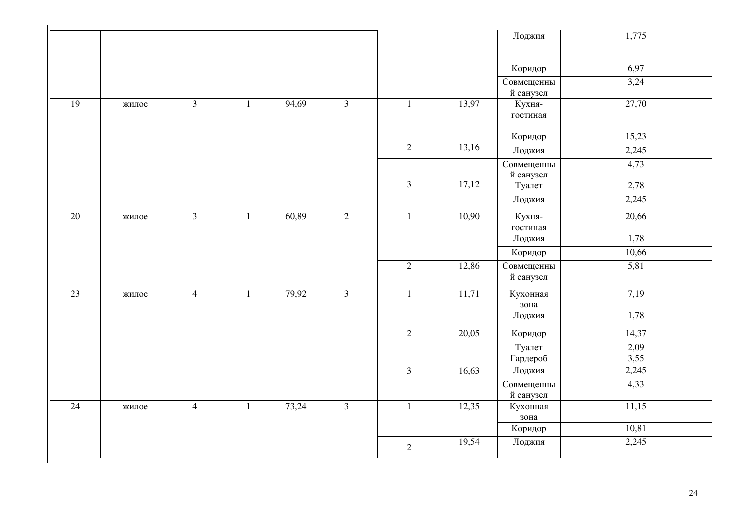|                 |       |                |              |       |                |                |       | Лоджия             | 1,775 |
|-----------------|-------|----------------|--------------|-------|----------------|----------------|-------|--------------------|-------|
|                 |       |                |              |       |                |                |       |                    |       |
|                 |       |                |              |       |                |                |       | Коридор            | 6,97  |
|                 |       |                |              |       |                |                |       | Совмещенны         | 3,24  |
|                 |       |                |              |       |                |                |       | й санузел          |       |
| 19              | жилое | $\overline{3}$ | $\mathbf{1}$ | 94,69 | $\overline{3}$ | $\mathbf{1}$   | 13,97 | Кухня-<br>гостиная | 27,70 |
|                 |       |                |              |       |                |                |       |                    |       |
|                 |       |                |              |       |                |                |       | Коридор            | 15,23 |
|                 |       |                |              |       |                | 2              | 13,16 | Лоджия             | 2,245 |
|                 |       |                |              |       |                |                |       | Совмещенны         | 4,73  |
|                 |       |                |              |       |                | $\mathfrak{Z}$ |       | й санузел          |       |
|                 |       |                |              |       |                |                | 17,12 | Туалет             | 2,78  |
|                 |       |                |              |       |                |                |       | Лоджия             | 2,245 |
| $\overline{20}$ | жилое | $\mathfrak{Z}$ | $\mathbf{1}$ | 60,89 | $\overline{2}$ | $\mathbf{1}$   | 10,90 | Кухня-             | 20,66 |
|                 |       |                |              |       |                |                |       | гостиная           |       |
|                 |       |                |              |       |                |                |       | Лоджия             | 1,78  |
|                 |       |                |              |       |                |                |       | Коридор            | 10,66 |
|                 |       |                |              |       |                | $\overline{2}$ | 12,86 | Совмещенны         | 5,81  |
|                 |       |                |              |       |                |                |       | й санузел          |       |
| 23              | жилое | $\overline{4}$ | $\mathbf{1}$ | 79,92 | $\overline{3}$ | $\mathbf{1}$   | 11,71 | Кухонная           | 7,19  |
|                 |       |                |              |       |                |                |       | зона               |       |
|                 |       |                |              |       |                |                |       | Лоджия             | 1,78  |
|                 |       |                |              |       |                | $\overline{2}$ | 20,05 | Коридор            | 14,37 |
|                 |       |                |              |       |                |                |       | Туалет             | 2,09  |
|                 |       |                |              |       |                |                |       | Гардероб           | 3,55  |
|                 |       |                |              |       |                | $\mathfrak{Z}$ | 16,63 | Лоджия             | 2,245 |
|                 |       |                |              |       |                |                |       | Совмещенны         | 4,33  |
|                 |       |                |              |       |                |                |       | й санузел          |       |
| $\overline{24}$ | жилое | $\overline{4}$ | $\mathbf{1}$ | 73,24 | $\overline{3}$ | $\mathbf{1}$   | 12,35 | Кухонная<br>зона   | 11,15 |
|                 |       |                |              |       |                |                |       | Коридор            | 10,81 |
|                 |       |                |              |       |                |                | 19,54 | Лоджия             | 2,245 |
|                 |       |                |              |       |                | $\overline{2}$ |       |                    |       |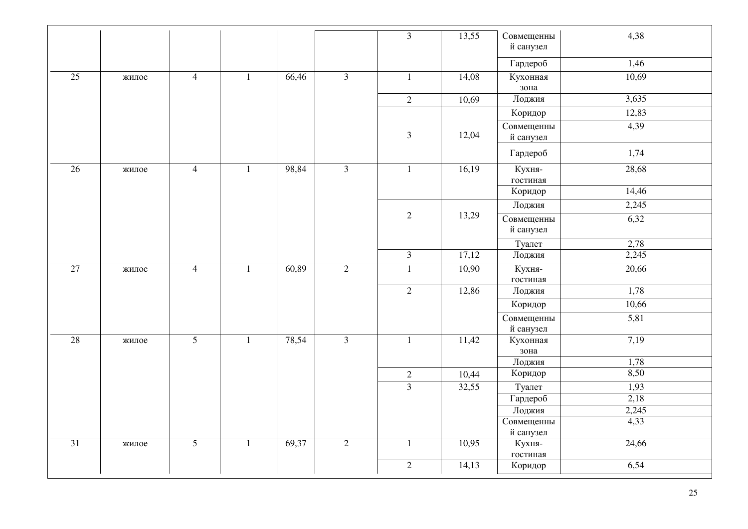|                 |       |                |              |       |                | $\overline{3}$ | 13,55              | Совмещенны<br>й санузел | 4,38  |
|-----------------|-------|----------------|--------------|-------|----------------|----------------|--------------------|-------------------------|-------|
|                 |       |                |              |       |                |                |                    | Гардероб                | 1,46  |
| $\overline{25}$ | жилое | $\overline{4}$ | $\mathbf{1}$ | 66,46 | $\overline{3}$ | $\mathbf{1}$   | 14,08              | Кухонная<br>зона        | 10,69 |
|                 |       |                |              |       |                | $\overline{2}$ | 10,69              | Лоджия                  | 3,635 |
|                 |       |                |              |       |                |                |                    | Коридор                 | 12,83 |
|                 |       |                |              |       |                | $\mathfrak{Z}$ | 12,04              | Совмещенны<br>й санузел | 4,39  |
|                 |       |                |              |       |                |                |                    | Гардероб                | 1,74  |
| 26              | жилое | $\overline{4}$ | $\mathbf{1}$ | 98,84 | $\overline{3}$ | $\mathbf{1}$   | 16,19              | Кухня-<br>гостиная      | 28,68 |
|                 |       |                |              |       |                |                |                    | Коридор                 | 14,46 |
|                 |       |                |              |       |                |                |                    | Лоджия                  | 2,245 |
|                 |       |                |              |       |                | $\overline{2}$ | 13,29              | Совмещенны<br>й санузел | 6,32  |
|                 |       |                |              |       |                |                |                    | Туалет                  | 2,78  |
|                 |       |                |              |       |                | $\overline{3}$ | 17,12              | Лоджия                  | 2,245 |
| $\overline{27}$ | жилое | $\overline{4}$ | $\mathbf{1}$ | 60,89 | $\overline{2}$ | $1\,$          | 10,90              | Кухня-<br>гостиная      | 20,66 |
|                 |       |                |              |       |                | $\overline{2}$ | 12,86              | Лоджия                  | 1,78  |
|                 |       |                |              |       |                |                |                    | Коридор                 | 10,66 |
|                 |       |                |              |       |                |                |                    | Совмещенны<br>й санузел | 5,81  |
| 28              | жилое | $\overline{5}$ | $\mathbf{1}$ | 78,54 | $\overline{3}$ | $\mathbf{1}$   | $\overline{11,42}$ | Кухонная<br>зона        | 7,19  |
|                 |       |                |              |       |                |                |                    | Лоджия                  | 1,78  |
|                 |       |                |              |       |                | $\overline{2}$ | 10,44              | Коридор                 | 8,50  |
|                 |       |                |              |       |                | $\overline{3}$ | 32,55              | Туалет                  | 1,93  |
|                 |       |                |              |       |                |                |                    | Гардероб                | 2,18  |
|                 |       |                |              |       |                |                |                    | Лоджия                  | 2,245 |
|                 |       |                |              |       |                |                |                    | Совмещенны<br>й санузел | 4,33  |
| 31              | жилое | $\overline{5}$ | $\mathbf{1}$ | 69,37 | $\overline{2}$ | $\mathbf{1}$   | 10,95              | Кухня-                  | 24,66 |
|                 |       |                |              |       |                |                |                    | гостиная                |       |
|                 |       |                |              |       |                | $\overline{2}$ | 14,13              | Коридор                 | 6,54  |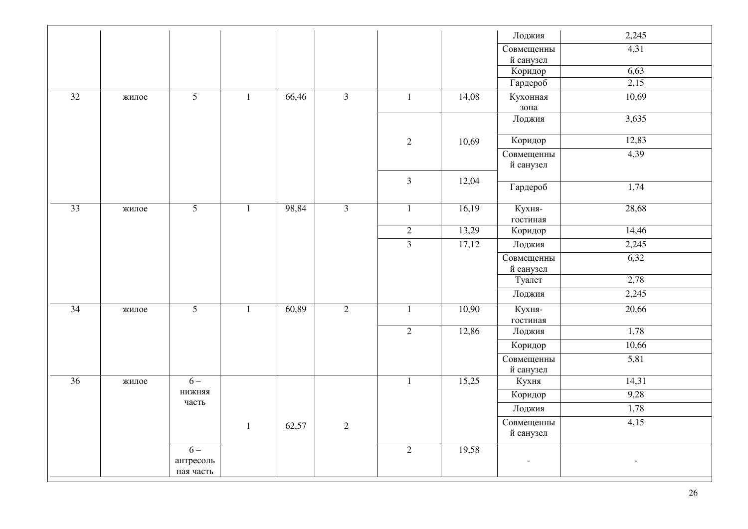|    |       |                        |              |       |                |                |       | Лоджия                   | 2,245                    |
|----|-------|------------------------|--------------|-------|----------------|----------------|-------|--------------------------|--------------------------|
|    |       |                        |              |       |                |                |       | Совмещенны               | 4,31                     |
|    |       |                        |              |       |                |                |       | й санузел                |                          |
|    |       |                        |              |       |                |                |       | Коридор                  | 6,63                     |
|    |       |                        |              |       |                |                |       | Гардероб                 | 2,15                     |
| 32 | жилое | $\overline{5}$         | $\mathbf{1}$ | 66,46 | $\overline{3}$ | $\mathbf{1}$   | 14,08 | Кухонная                 | 10,69                    |
|    |       |                        |              |       |                |                |       | зона                     |                          |
|    |       |                        |              |       |                |                |       | Лоджия                   | 3,635                    |
|    |       |                        |              |       |                | $\overline{2}$ | 10,69 | Коридор                  | 12,83                    |
|    |       |                        |              |       |                |                |       | Совмещенны               | 4,39                     |
|    |       |                        |              |       |                |                |       | й санузел                |                          |
|    |       |                        |              |       |                | $\overline{3}$ | 12,04 |                          |                          |
|    |       |                        |              |       |                |                |       | Гардероб                 | 1,74                     |
| 33 | жилое | $\overline{5}$         | $\mathbf{1}$ | 98,84 | $\overline{3}$ | $\mathbf{1}$   | 16,19 | Кухня-                   | 28,68                    |
|    |       |                        |              |       |                |                |       | гостиная                 |                          |
|    |       |                        |              |       |                | $\overline{2}$ | 13,29 | Коридор                  | 14,46                    |
|    |       |                        |              |       |                | $\overline{3}$ | 17,12 | Лоджия                   | 2,245                    |
|    |       |                        |              |       |                |                |       | Совмещенны               | 6,32                     |
|    |       |                        |              |       |                |                |       | й санузел                |                          |
|    |       |                        |              |       |                |                |       | Туалет                   | 2,78                     |
|    |       |                        |              |       |                |                |       | Лоджия                   | 2,245                    |
| 34 | жилое | $\overline{5}$         | $\mathbf{1}$ | 60,89 | $\overline{2}$ | $\mathbf{1}$   | 10,90 | Кухня-                   | 20,66                    |
|    |       |                        |              |       |                |                |       | гостиная                 |                          |
|    |       |                        |              |       |                | $\overline{2}$ | 12,86 | Лоджия                   | 1,78                     |
|    |       |                        |              |       |                |                |       | Коридор                  | 10,66                    |
|    |       |                        |              |       |                |                |       | Совмещенны               | 5,81                     |
|    |       |                        |              |       |                |                |       | й санузел                |                          |
| 36 | жилое | $6-$                   |              |       |                | $\mathbf{1}$   | 15,25 | Кухня                    | 14,31                    |
|    |       | <b>ВВНЖИН</b><br>часть |              |       |                |                |       | Коридор                  | 9,28                     |
|    |       |                        |              |       |                |                |       | Лоджия                   | 1,78                     |
|    |       |                        | $\mathbf{1}$ | 62,57 | $\sqrt{2}$     |                |       | Совмещенны               | 4,15                     |
|    |       |                        |              |       |                |                |       | й санузел                |                          |
|    |       | $6-$                   |              |       |                | 2              | 19,58 |                          |                          |
|    |       | антресоль              |              |       |                |                |       | $\overline{\phantom{a}}$ | $\overline{\phantom{a}}$ |
|    |       | ная часть              |              |       |                |                |       |                          |                          |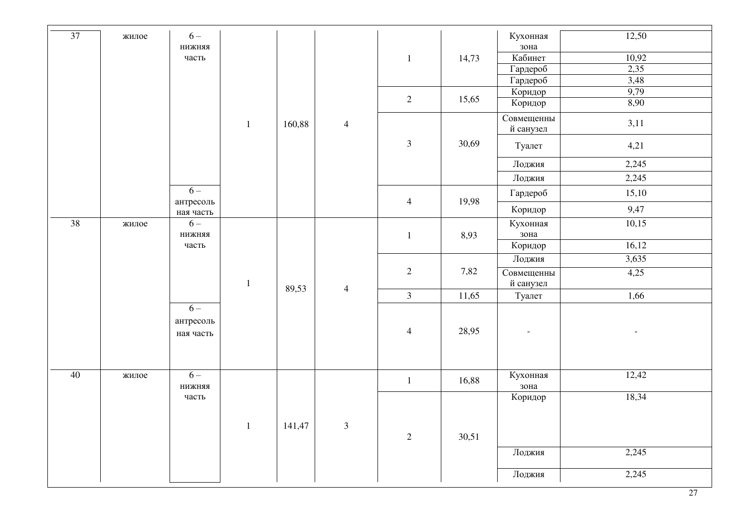| 37 | жилое | $6-$                           |              |        |                |                |         | Кухонная   | 12,50 |
|----|-------|--------------------------------|--------------|--------|----------------|----------------|---------|------------|-------|
|    |       | нижняя                         |              |        |                |                |         | зона       |       |
|    |       | часть                          |              |        |                | $\mathbf{1}$   | 14,73   | Кабинет    | 10,92 |
|    |       |                                |              |        |                |                |         | Гардероб   | 2,35  |
|    |       |                                |              |        |                |                |         | Гардероб   | 3,48  |
|    |       |                                |              |        |                | $\overline{2}$ | 15,65   | Коридор    | 9,79  |
|    |       |                                |              |        |                |                |         | Коридор    | 8,90  |
|    |       |                                | $\mathbf{1}$ | 160,88 | $\overline{4}$ |                |         | Совмещенны | 3,11  |
|    |       |                                |              |        |                | $\mathfrak{Z}$ | 30,69   | й санузел  |       |
|    |       |                                |              |        |                |                |         | Туалет     | 4,21  |
|    |       |                                |              |        |                |                |         | Лоджия     | 2,245 |
|    |       |                                |              |        |                |                |         | Лоджия     | 2,245 |
|    |       | $6-$<br>антресоль              |              |        |                | $\overline{4}$ | 19,98   | Гардероб   | 15,10 |
|    |       | ная часть                      |              |        |                |                |         | Коридор    | 9,47  |
| 38 | жилое | $6-$                           |              |        |                |                |         | Кухонная   | 10,15 |
|    |       | <b>ВВНЖИН</b>                  |              |        | $\overline{4}$ | $\mathbf{1}$   | 8,93    | зона       |       |
|    |       | часть                          |              |        |                |                |         | Коридор    | 16,12 |
|    |       |                                |              |        |                |                |         | Лоджия     | 3,635 |
|    |       |                                |              |        |                | $\overline{2}$ | 7,82    | Совмещенны | 4,25  |
|    |       |                                | $\mathbf{1}$ | 89,53  |                |                |         | й санузел  |       |
|    |       |                                |              |        |                | $\overline{3}$ | 11,65   | Туалет     | 1,66  |
|    |       | $6-$<br>антресоль<br>ная часть |              |        |                | $\overline{4}$ | 28,95   |            |       |
| 40 | жилое | $6-$                           |              |        |                | $\mathbf{1}$   | 16,88   | Кухонная   | 12,42 |
|    |       | <b>ВВНЖИН</b>                  |              |        |                |                |         | зона       |       |
|    |       | часть                          |              |        |                |                | Коридор | 18,34      |       |
|    |       |                                | $\mathbf{1}$ | 141,47 | $\mathfrak{Z}$ | $\overline{2}$ | 30,51   |            |       |
|    |       |                                |              |        |                |                |         | Лоджия     | 2,245 |
|    |       |                                |              |        |                |                |         | Лоджия     | 2,245 |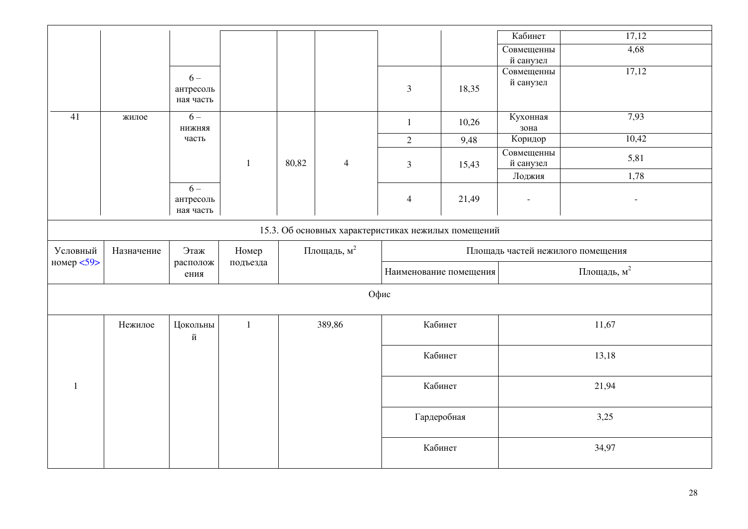|                                                     |            |                        |              |       |                         |                        |       | Кабинет                  | 17,12                             |
|-----------------------------------------------------|------------|------------------------|--------------|-------|-------------------------|------------------------|-------|--------------------------|-----------------------------------|
|                                                     |            |                        |              |       |                         |                        |       | Совмещенны               | 4,68                              |
|                                                     |            |                        |              |       |                         |                        |       | й санузел                |                                   |
|                                                     |            | $6-$                   |              |       |                         |                        |       | Совмещенны               | 17,12                             |
|                                                     |            | антресоль              |              |       |                         | $\overline{3}$         | 18,35 | й санузел                |                                   |
|                                                     |            | ная часть              |              |       |                         |                        |       |                          |                                   |
|                                                     |            |                        |              |       |                         |                        |       |                          |                                   |
| 41                                                  | жилое      | $6-$                   |              |       |                         | $\mathbf{1}$           | 10,26 | Кухонная                 | 7,93                              |
|                                                     |            | нижняя                 |              |       |                         |                        |       | зона                     |                                   |
|                                                     |            | часть                  |              |       |                         | $\overline{2}$         | 9,48  | Коридор                  | 10,42                             |
|                                                     |            |                        |              |       |                         |                        |       | Совмещенны               | 5,81                              |
|                                                     |            |                        | $\mathbf{1}$ | 80,82 | $\overline{4}$          | $\mathfrak{Z}$         | 15,43 | й санузел                |                                   |
|                                                     |            |                        |              |       |                         |                        |       | Лоджия                   | 1,78                              |
|                                                     |            | $6-$                   |              |       |                         |                        |       |                          |                                   |
|                                                     |            | антресоль<br>ная часть |              |       |                         | $\overline{4}$         | 21,49 | $\overline{\phantom{a}}$ | $\overline{\phantom{0}}$          |
|                                                     |            |                        |              |       |                         |                        |       |                          |                                   |
| 15.3. Об основных характеристиках нежилых помещений |            |                        |              |       |                         |                        |       |                          |                                   |
| Условный                                            | Назначение | Этаж                   | Номер        |       | Площадь, м <sup>2</sup> |                        |       |                          | Площадь частей нежилого помещения |
| номер <59>                                          |            | располож               | подъезда     |       |                         |                        |       |                          |                                   |
|                                                     |            | ения                   |              |       |                         | Наименование помещения |       |                          | Площадь, м <sup>2</sup>           |
|                                                     |            |                        |              |       |                         | Офис                   |       |                          |                                   |
|                                                     |            |                        |              |       |                         |                        |       |                          |                                   |
|                                                     | Нежилое    | Цокольны               | $\mathbf{1}$ |       | 389,86                  | Кабинет                |       |                          | 11,67                             |
|                                                     |            | й                      |              |       |                         |                        |       |                          |                                   |
|                                                     |            |                        |              |       |                         | Кабинет                |       |                          | 13,18                             |
|                                                     |            |                        |              |       |                         |                        |       |                          |                                   |
| $\mathbf{1}$                                        |            |                        |              |       |                         | Кабинет                |       |                          | 21,94                             |
|                                                     |            |                        |              |       |                         |                        |       |                          |                                   |
|                                                     |            |                        |              |       |                         | Гардеробная            |       |                          | 3,25                              |
|                                                     |            |                        |              |       |                         |                        |       |                          |                                   |
|                                                     |            |                        |              |       |                         | Кабинет                |       |                          | 34,97                             |
|                                                     |            |                        |              |       |                         |                        |       |                          |                                   |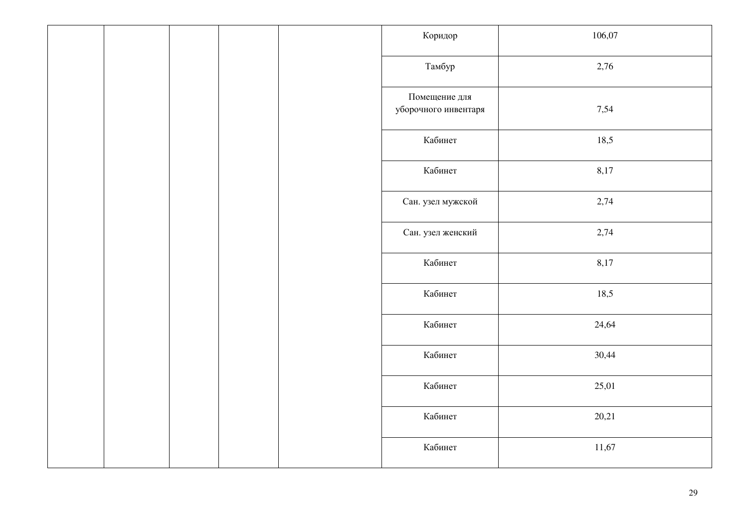| Коридор                               | 106,07 |
|---------------------------------------|--------|
| Тамбур                                | 2,76   |
| Помещение для<br>уборочного инвентаря | 7,54   |
| Кабинет                               | 18,5   |
| Кабинет                               | 8,17   |
| Сан. узел мужской                     | 2,74   |
| Сан. узел женский                     | 2,74   |
| Кабинет                               | 8,17   |
| Кабинет                               | 18,5   |
| Кабинет                               | 24,64  |
| Кабинет                               | 30,44  |
| Кабинет                               | 25,01  |
| Кабинет                               | 20,21  |
| Кабинет                               | 11,67  |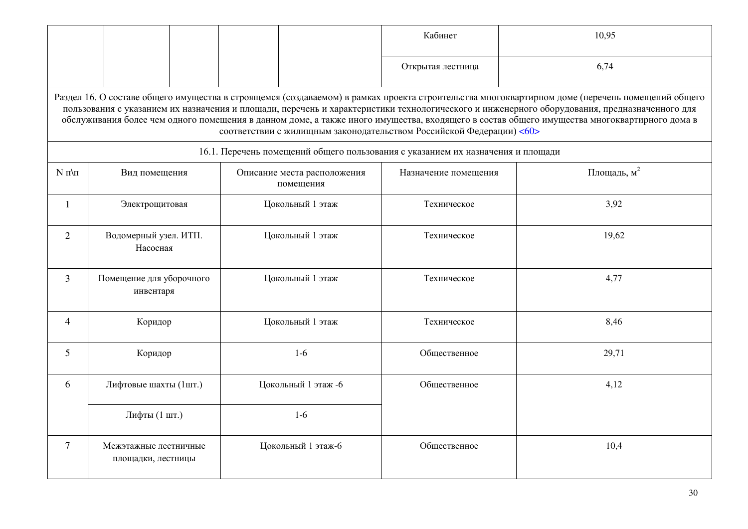|                                                                                                                                                                                                                                                                                                                                                                                                                                                                                                                        |                                             |                                                                                 | Кабинет              | 10,95                   |  |  |  |  |
|------------------------------------------------------------------------------------------------------------------------------------------------------------------------------------------------------------------------------------------------------------------------------------------------------------------------------------------------------------------------------------------------------------------------------------------------------------------------------------------------------------------------|---------------------------------------------|---------------------------------------------------------------------------------|----------------------|-------------------------|--|--|--|--|
|                                                                                                                                                                                                                                                                                                                                                                                                                                                                                                                        |                                             |                                                                                 | Открытая лестница    | 6,74                    |  |  |  |  |
| Раздел 16. О составе общего имущества в строящемся (создаваемом) в рамках проекта строительства многоквартирном доме (перечень помещений общего<br>пользования с указанием их назначения и площади, перечень и характеристики технологического и инженерного оборудования, предназначенного для<br>обслуживания более чем одного помещения в данном доме, а также иного имущества, входящего в состав общего имущества многоквартирного дома в<br>соответствии с жилищным законодательством Российской Федерации) <60> |                                             |                                                                                 |                      |                         |  |  |  |  |
|                                                                                                                                                                                                                                                                                                                                                                                                                                                                                                                        |                                             | 16.1. Перечень помещений общего пользования с указанием их назначения и площади |                      |                         |  |  |  |  |
| $N \pi \pi$                                                                                                                                                                                                                                                                                                                                                                                                                                                                                                            | Вид помещения                               | Описание места расположения<br>помещения                                        | Назначение помещения | Площадь, м <sup>2</sup> |  |  |  |  |
| $\mathbf{1}$                                                                                                                                                                                                                                                                                                                                                                                                                                                                                                           | Электрощитовая                              | Цокольный 1 этаж                                                                | Техническое          | 3,92                    |  |  |  |  |
| $\overline{2}$                                                                                                                                                                                                                                                                                                                                                                                                                                                                                                         | Водомерный узел. ИТП.<br>Насосная           | Цокольный 1 этаж                                                                | Техническое          | 19,62                   |  |  |  |  |
| 3                                                                                                                                                                                                                                                                                                                                                                                                                                                                                                                      | Помещение для уборочного<br>инвентаря       | Цокольный 1 этаж                                                                | Техническое          | 4,77                    |  |  |  |  |
| $\overline{4}$                                                                                                                                                                                                                                                                                                                                                                                                                                                                                                         | Коридор                                     | Цокольный 1 этаж                                                                | Техническое          | 8,46                    |  |  |  |  |
| $\mathfrak{S}$                                                                                                                                                                                                                                                                                                                                                                                                                                                                                                         | Коридор                                     | $1-6$                                                                           | Общественное         | 29,71                   |  |  |  |  |
| 6                                                                                                                                                                                                                                                                                                                                                                                                                                                                                                                      | Лифтовые шахты (1шт.)                       | Цокольный 1 этаж -6                                                             | Общественное         | 4,12                    |  |  |  |  |
|                                                                                                                                                                                                                                                                                                                                                                                                                                                                                                                        | Лифты (1 шт.)                               | $1-6$                                                                           |                      |                         |  |  |  |  |
| 7                                                                                                                                                                                                                                                                                                                                                                                                                                                                                                                      | Межэтажные лестничные<br>площадки, лестницы | Цокольный 1 этаж-6                                                              | Общественное         | 10,4                    |  |  |  |  |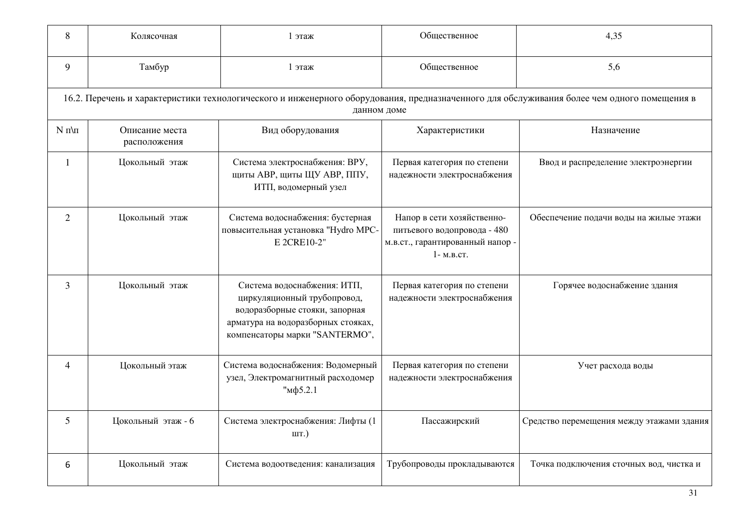| 8              | Колясочная                                                                                                                                                 | 1 этаж                                                                                                                                                               | Общественное                                                                                               | 4,35                                      |  |  |  |  |  |
|----------------|------------------------------------------------------------------------------------------------------------------------------------------------------------|----------------------------------------------------------------------------------------------------------------------------------------------------------------------|------------------------------------------------------------------------------------------------------------|-------------------------------------------|--|--|--|--|--|
| 9              | Тамбур                                                                                                                                                     | 1 этаж                                                                                                                                                               | Общественное                                                                                               | 5,6                                       |  |  |  |  |  |
|                | 16.2. Перечень и характеристики технологического и инженерного оборудования, предназначенного для обслуживания более чем одного помещения в<br>данном доме |                                                                                                                                                                      |                                                                                                            |                                           |  |  |  |  |  |
| $N \pi \pi$    | Описание места<br>расположения                                                                                                                             | Вид оборудования                                                                                                                                                     | Характеристики                                                                                             | Назначение                                |  |  |  |  |  |
| 1              | Цокольный этаж                                                                                                                                             | Система электроснабжения: ВРУ,<br>ЩИТЫ АВР, ЩИТЫ ЩУ АВР, ППУ,<br>ИТП, водомерный узел                                                                                | Первая категория по степени<br>надежности электроснабжения                                                 | Ввод и распределение электроэнергии       |  |  |  |  |  |
| 2              | Цокольный этаж                                                                                                                                             | Система водоснабжения: бустерная<br>повысительная установка "Hydro MPC-<br>E 2CRE10-2"                                                                               | Напор в сети хозяйственно-<br>питьевого водопровода - 480<br>м.в.ст., гарантированный напор -<br>1-м.в.ст. | Обеспечение подачи воды на жилые этажи    |  |  |  |  |  |
| 3              | Цокольный этаж                                                                                                                                             | Система водоснабжения: ИТП,<br>циркуляционный трубопровод,<br>водоразборные стояки, запорная<br>арматура на водоразборных стояках,<br>компенсаторы марки "SANTERMO", | Первая категория по степени<br>надежности электроснабжения                                                 | Горячее водоснабжение здания              |  |  |  |  |  |
| $\overline{4}$ | Цокольный этаж                                                                                                                                             | Система водоснабжения: Водомерный<br>узел, Электромагнитный расходомер<br>"мф5.2.1                                                                                   | Первая категория по степени<br>надежности электроснабжения                                                 | Учет расхода воды                         |  |  |  |  |  |
| 5              | Цокольный этаж - 6                                                                                                                                         | Система электроснабжения: Лифты (1<br>шт.)                                                                                                                           | Пассажирский                                                                                               | Средство перемещения между этажами здания |  |  |  |  |  |
| 6              | Цокольный этаж                                                                                                                                             | Система водоотведения: канализация                                                                                                                                   | Трубопроводы прокладываются                                                                                | Точка подключения сточных вод, чистка и   |  |  |  |  |  |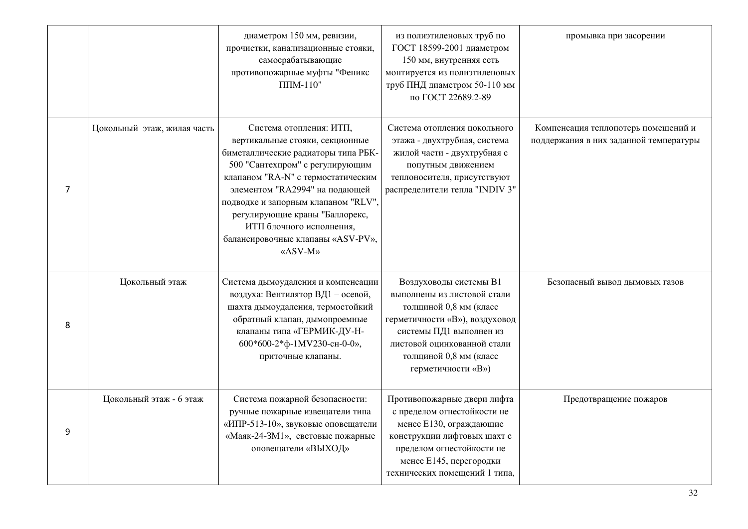|                |                             | диаметром 150 мм, ревизии,<br>прочистки, канализационные стояки,<br>самосрабатывающие<br>противопожарные муфты "Феникс<br>$\Pi\Pi M-110"$                                                                                                                                                                                                                         | из полиэтиленовых труб по<br>ГОСТ 18599-2001 диаметром<br>150 мм, внутренняя сеть<br>монтируется из полиэтиленовых<br>труб ПНД диаметром 50-110 мм<br>по ГОСТ 22689.2-89                                                    | промывка при засорении                                                        |
|----------------|-----------------------------|-------------------------------------------------------------------------------------------------------------------------------------------------------------------------------------------------------------------------------------------------------------------------------------------------------------------------------------------------------------------|-----------------------------------------------------------------------------------------------------------------------------------------------------------------------------------------------------------------------------|-------------------------------------------------------------------------------|
| $\overline{7}$ | Цокольный этаж, жилая часть | Система отопления: ИТП,<br>вертикальные стояки, секционные<br>биметаллические радиаторы типа РБК-<br>500 "Сантехпром" с регулирующим<br>клапаном "RA-N" с термостатическим<br>элементом "RA2994" на подающей<br>подводке и запорным клапаном "RLV",<br>регулирующие краны "Баллорекс,<br>ИТП блочного исполнения,<br>балансировочные клапаны «ASV-PV»,<br>«ASV-M» | Система отопления цокольного<br>этажа - двухтрубная, система<br>жилой части - двухтрубная с<br>попутным движением<br>теплоносителя, присутствуют<br>распределители тепла "INDIV 3"                                          | Компенсация теплопотерь помещений и<br>поддержания в них заданной температуры |
| 8              | Цокольный этаж              | Система дымоудаления и компенсации<br>воздуха: Вентилятор ВД1 - осевой,<br>шахта дымоудаления, термостойкий<br>обратный клапан, дымопроемные<br>клапаны типа «ГЕРМИК-ДУ-Н-<br>600*600-2*ф-1MV230-сн-0-0»,<br>приточные клапаны.                                                                                                                                   | Воздуховоды системы В1<br>выполнены из листовой стали<br>толщиной 0,8 мм (класс<br>герметичности «В»), воздуховод<br>системы ПД1 выполнен из<br>листовой оцинкованной стали<br>толщиной 0,8 мм (класс<br>герметичности «В») | Безопасный вывод дымовых газов                                                |
| 9              | Цокольный этаж - 6 этаж     | Система пожарной безопасности:<br>ручные пожарные извещатели типа<br>«ИПР-513-10», звуковые оповещатели<br>«Маяк-24-ЗМ1», световые пожарные<br>оповещатели «ВЫХОД»                                                                                                                                                                                                | Противопожарные двери лифта<br>с пределом огнестойкости не<br>менее Е130, ограждающие<br>конструкции лифтовых шахт с<br>пределом огнестойкости не<br>менее Е145, перегородки<br>технических помещений 1 типа,               | Предотвращение пожаров                                                        |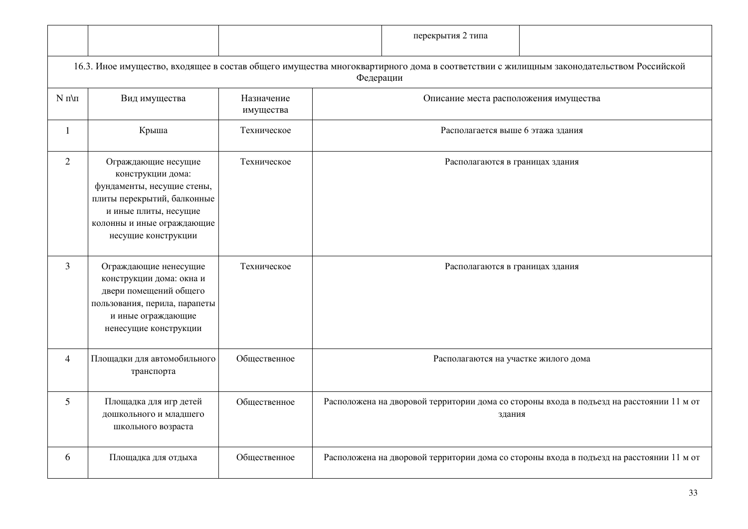|                |                                                                                                                                                                                     |                         |                                   | перекрытия 2 типа                     |                                                                                                                                       |  |
|----------------|-------------------------------------------------------------------------------------------------------------------------------------------------------------------------------------|-------------------------|-----------------------------------|---------------------------------------|---------------------------------------------------------------------------------------------------------------------------------------|--|
|                |                                                                                                                                                                                     |                         | Федерации                         |                                       | 16.3. Иное имущество, входящее в состав общего имущества многоквартирного дома в соответствии с жилищным законодательством Российской |  |
| $N \pi \pi$    | Вид имущества                                                                                                                                                                       | Назначение<br>имущества |                                   | Описание места расположения имущества |                                                                                                                                       |  |
| $\mathbf{1}$   | Крыша                                                                                                                                                                               | Техническое             | Располагается выше 6 этажа здания |                                       |                                                                                                                                       |  |
| 2              | Ограждающие несущие<br>конструкции дома:<br>фундаменты, несущие стены,<br>плиты перекрытий, балконные<br>и иные плиты, несущие<br>колонны и иные ограждающие<br>несущие конструкции | Техническое             |                                   | Располагаются в границах здания       |                                                                                                                                       |  |
| 3              | Ограждающие ненесущие<br>конструкции дома: окна и<br>двери помещений общего<br>пользования, перила, парапеты<br>и иные ограждающие<br>ненесущие конструкции                         | Техническое             |                                   | Располагаются в границах здания       |                                                                                                                                       |  |
| $\overline{4}$ | Площадки для автомобильного<br>транспорта                                                                                                                                           | Общественное            |                                   | Располагаются на участке жилого дома  |                                                                                                                                       |  |
| 5              | Площадка для игр детей<br>дошкольного и младшего<br>школьного возраста                                                                                                              | Общественное            |                                   | здания                                | Расположена на дворовой территории дома со стороны входа в подъезд на расстоянии 11 м от                                              |  |
| 6              | Площадка для отдыха                                                                                                                                                                 | Общественное            |                                   |                                       | Расположена на дворовой территории дома со стороны входа в подъезд на расстоянии 11 м от                                              |  |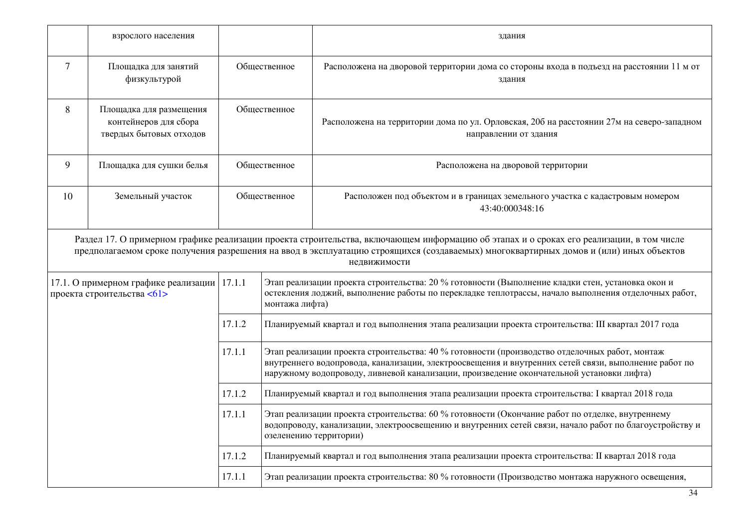|                | взрослого населения                                                         |              |                                                                                                                                                                                                                                                                                                   | здания                                                                                                                                                                                                                                                                                           |  |  |  |
|----------------|-----------------------------------------------------------------------------|--------------|---------------------------------------------------------------------------------------------------------------------------------------------------------------------------------------------------------------------------------------------------------------------------------------------------|--------------------------------------------------------------------------------------------------------------------------------------------------------------------------------------------------------------------------------------------------------------------------------------------------|--|--|--|
| $\overline{7}$ | Площадка для занятий<br>физкультурой                                        |              | Общественное                                                                                                                                                                                                                                                                                      | Расположена на дворовой территории дома со стороны входа в подъезд на расстоянии 11 м от<br>здания                                                                                                                                                                                               |  |  |  |
| 8              | Площадка для размещения<br>контейнеров для сбора<br>твердых бытовых отходов | Общественное |                                                                                                                                                                                                                                                                                                   | Расположена на территории дома по ул. Орловская, 20б на расстоянии 27м на северо-западном<br>направлении от здания                                                                                                                                                                               |  |  |  |
| 9              | Площадка для сушки белья                                                    |              | Общественное                                                                                                                                                                                                                                                                                      | Расположена на дворовой территории                                                                                                                                                                                                                                                               |  |  |  |
| 10             | Земельный участок                                                           | Общественное |                                                                                                                                                                                                                                                                                                   | Расположен под объектом и в границах земельного участка с кадастровым номером<br>43:40:000348:16                                                                                                                                                                                                 |  |  |  |
|                |                                                                             |              |                                                                                                                                                                                                                                                                                                   | Раздел 17. О примерном графике реализации проекта строительства, включающем информацию об этапах и о сроках его реализации, в том числе<br>предполагаемом сроке получения разрешения на ввод в эксплуатацию строящихся (создаваемых) многоквартирных домов и (или) иных объектов<br>недвижимости |  |  |  |
|                | 17.1. О примерном графике реализации<br>проекта строительства <61>          | 17.1.1       | Этап реализации проекта строительства: 20 % готовности (Выполнение кладки стен, установка окон и<br>остекления лоджий, выполнение работы по перекладке теплотрассы, начало выполнения отделочных работ,<br>монтажа лифта)                                                                         |                                                                                                                                                                                                                                                                                                  |  |  |  |
|                |                                                                             | 17.1.2       |                                                                                                                                                                                                                                                                                                   | Планируемый квартал и год выполнения этапа реализации проекта строительства: III квартал 2017 года                                                                                                                                                                                               |  |  |  |
|                |                                                                             | 17.1.1       | Этап реализации проекта строительства: 40 % готовности (производство отделочных работ, монтаж<br>внутреннего водопровода, канализации, электроосвещения и внутренних сетей связи, выполнение работ по<br>наружному водопроводу, ливневой канализации, произведение окончательной установки лифта) |                                                                                                                                                                                                                                                                                                  |  |  |  |
|                |                                                                             | 17.1.2       |                                                                                                                                                                                                                                                                                                   | Планируемый квартал и год выполнения этапа реализации проекта строительства: І квартал 2018 года                                                                                                                                                                                                 |  |  |  |
|                |                                                                             | 17.1.1       | Этап реализации проекта строительства: 60 % готовности (Окончание работ по отделке, внутреннему<br>водопроводу, канализации, электроосвещению и внутренних сетей связи, начало работ по благоустройству и<br>озеленению территории)                                                               |                                                                                                                                                                                                                                                                                                  |  |  |  |
|                |                                                                             | 17.1.2       |                                                                                                                                                                                                                                                                                                   | Планируемый квартал и год выполнения этапа реализации проекта строительства: II квартал 2018 года                                                                                                                                                                                                |  |  |  |
|                |                                                                             | 17.1.1       |                                                                                                                                                                                                                                                                                                   | Этап реализации проекта строительства: 80 % готовности (Производство монтажа наружного освещения,                                                                                                                                                                                                |  |  |  |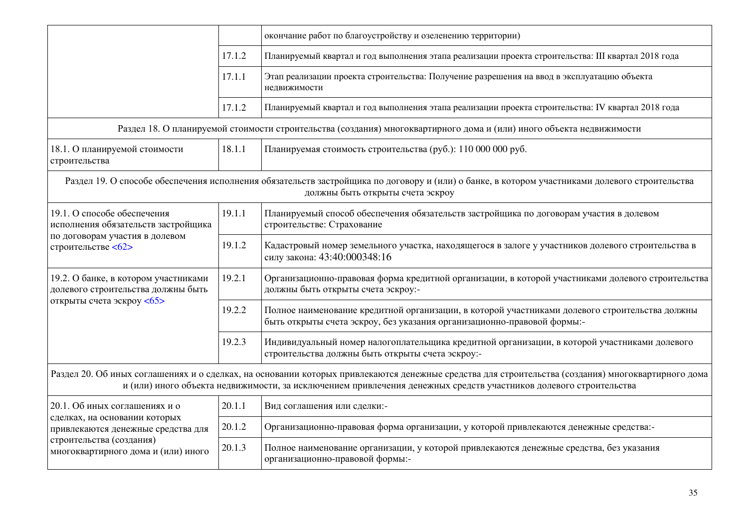|                                                                                                                            |        | окончание работ по благоустройству и озеленению территории)                                                                                                                                                                                                             |  |  |  |
|----------------------------------------------------------------------------------------------------------------------------|--------|-------------------------------------------------------------------------------------------------------------------------------------------------------------------------------------------------------------------------------------------------------------------------|--|--|--|
|                                                                                                                            | 17.1.2 | Планируемый квартал и год выполнения этапа реализации проекта строительства: III квартал 2018 года                                                                                                                                                                      |  |  |  |
|                                                                                                                            | 17.1.1 | Этап реализации проекта строительства: Получение разрешения на ввод в эксплуатацию объекта<br>недвижимости                                                                                                                                                              |  |  |  |
|                                                                                                                            | 17.1.2 | Планируемый квартал и год выполнения этапа реализации проекта строительства: IV квартал 2018 года                                                                                                                                                                       |  |  |  |
|                                                                                                                            |        | Раздел 18. О планируемой стоимости строительства (создания) многоквартирного дома и (или) иного объекта недвижимости                                                                                                                                                    |  |  |  |
| 18.1. О планируемой стоимости<br>строительства                                                                             | 18.1.1 | Планируемая стоимость строительства (руб.): 110 000 000 руб.                                                                                                                                                                                                            |  |  |  |
|                                                                                                                            |        | Раздел 19. О способе обеспечения исполнения обязательств застройщика по договору и (или) о банке, в котором участниками долевого строительства<br>должны быть открыты счета эскроу                                                                                      |  |  |  |
| 19.1. О способе обеспечения<br>исполнения обязательств застройщика<br>по договорам участия в долевом<br>строительстве <62> | 19.1.1 | Планируемый способ обеспечения обязательств застройщика по договорам участия в долевом<br>строительстве: Страхование                                                                                                                                                    |  |  |  |
|                                                                                                                            | 19.1.2 | Кадастровый номер земельного участка, находящегося в залоге у участников долевого строительства в<br>силу закона: 43:40:000348:16                                                                                                                                       |  |  |  |
| 19.2. О банке, в котором участниками<br>долевого строительства должны быть<br>открыты счета эскроу <65>                    | 19.2.1 | Организационно-правовая форма кредитной организации, в которой участниками долевого строительства<br>должны быть открыты счета эскроу:-                                                                                                                                 |  |  |  |
|                                                                                                                            | 19.2.2 | Полное наименование кредитной организации, в которой участниками долевого строительства должны<br>быть открыты счета эскроу, без указания организационно-правовой формы:-                                                                                               |  |  |  |
|                                                                                                                            | 19.2.3 | Индивидуальный номер налогоплательщика кредитной организации, в которой участниками долевого<br>строительства должны быть открыты счета эскроу:-                                                                                                                        |  |  |  |
|                                                                                                                            |        | Раздел 20. Об иных соглашениях и о сделках, на основании которых привлекаются денежные средства для строительства (создания) многоквартирного дома<br>и (или) иного объекта недвижимости, за исключением привлечения денежных средств участников долевого строительства |  |  |  |
| 20.1. Об иных соглашениях и о                                                                                              | 20.1.1 | Вид соглашения или сделки:-                                                                                                                                                                                                                                             |  |  |  |
| сделках, на основании которых<br>привлекаются денежные средства для                                                        | 20.1.2 | Организационно-правовая форма организации, у которой привлекаются денежные средства:-                                                                                                                                                                                   |  |  |  |
| строительства (создания)<br>многоквартирного дома и (или) иного                                                            | 20.1.3 | Полное наименование организации, у которой привлекаются денежные средства, без указания<br>организационно-правовой формы:-                                                                                                                                              |  |  |  |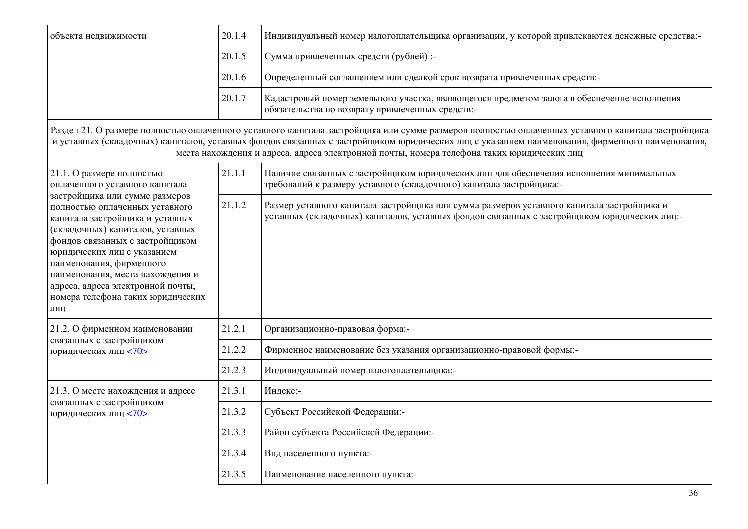| объекта недвижимости                                                                                                                                                                                                                                                                                                                                       | 20.1.4 | Индивидуальный номер налогоплательщика организации, у которой привлекаются денежные средства:-                                                                                                                                                                                                                                                                                                   |  |
|------------------------------------------------------------------------------------------------------------------------------------------------------------------------------------------------------------------------------------------------------------------------------------------------------------------------------------------------------------|--------|--------------------------------------------------------------------------------------------------------------------------------------------------------------------------------------------------------------------------------------------------------------------------------------------------------------------------------------------------------------------------------------------------|--|
|                                                                                                                                                                                                                                                                                                                                                            | 20.1.5 | Сумма привлеченных средств (рублей) :-                                                                                                                                                                                                                                                                                                                                                           |  |
|                                                                                                                                                                                                                                                                                                                                                            | 20.1.6 | Определенный соглашением или сделкой срок возврата привлеченных средств:-                                                                                                                                                                                                                                                                                                                        |  |
|                                                                                                                                                                                                                                                                                                                                                            | 20.1.7 | Кадастровый номер земельного участка, являющегося предметом залога в обеспечение исполнения<br>обязательства по возврату привлеченных средств:-                                                                                                                                                                                                                                                  |  |
|                                                                                                                                                                                                                                                                                                                                                            |        | Раздел 21. О размере полностью оплаченного уставного капитала застройщика или сумме размеров полностью оплаченных уставного капитала застройщика<br>и уставных (складочных) капиталов, уставных фондов связанных с застройщиком юридических лиц с указанием наименования, фирменного наименования,<br>места нахождения и адреса, адреса электронной почты, номера телефона таких юридических лиц |  |
| 21.1. О размере полностью<br>оплаченного уставного капитала                                                                                                                                                                                                                                                                                                | 21.1.1 | Наличие связанных с застройщиком юридических лиц для обеспечения исполнения минимальных<br>требований к размеру уставного (складочного) капитала застройщика:-                                                                                                                                                                                                                                   |  |
| застройщика или сумме размеров<br>полностью оплаченных уставного<br>капитала застройщика и уставных<br>(складочных) капиталов, уставных<br>фондов связанных с застройщиком<br>юридических лиц с указанием<br>наименования, фирменного<br>наименования, места нахождения и<br>адреса, адреса электронной почты,<br>номера телефона таких юридических<br>ЛИЦ | 21.1.2 | Размер уставного капитала застройщика или сумма размеров уставного капитала застройщика и<br>уставных (складочных) капиталов, уставных фондов связанных с застройщиком юридических лиц:-                                                                                                                                                                                                         |  |
| 21.2. О фирменном наименовании                                                                                                                                                                                                                                                                                                                             | 21.2.1 | Организационно-правовая форма:-                                                                                                                                                                                                                                                                                                                                                                  |  |
| связанных с застройщиком<br>юридических лиц <70>                                                                                                                                                                                                                                                                                                           | 21.2.2 | Фирменное наименование без указания организационно-правовой формы:-                                                                                                                                                                                                                                                                                                                              |  |
|                                                                                                                                                                                                                                                                                                                                                            | 21.2.3 | Индивидуальный номер налогоплательщика:-                                                                                                                                                                                                                                                                                                                                                         |  |
| 21.3. О месте нахождения и адресе                                                                                                                                                                                                                                                                                                                          | 21.3.1 | Индекс:-                                                                                                                                                                                                                                                                                                                                                                                         |  |
| связанных с застройщиком<br>юридических лиц <70>                                                                                                                                                                                                                                                                                                           | 21.3.2 | Субъект Российской Федерации:-                                                                                                                                                                                                                                                                                                                                                                   |  |
|                                                                                                                                                                                                                                                                                                                                                            | 21.3.3 | Район субъекта Российской Федерации:-                                                                                                                                                                                                                                                                                                                                                            |  |
|                                                                                                                                                                                                                                                                                                                                                            | 21.3.4 | Вид населенного пункта:-                                                                                                                                                                                                                                                                                                                                                                         |  |
|                                                                                                                                                                                                                                                                                                                                                            | 21.3.5 | Наименование населенного пункта:-                                                                                                                                                                                                                                                                                                                                                                |  |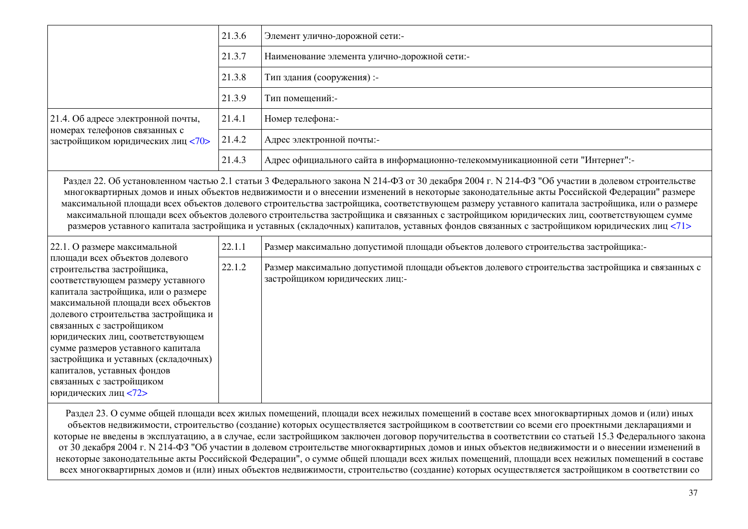|                                                                                                                                                                                                                                                                                                                                                                                                                                                      | 21.3.6 | Элемент улично-дорожной сети:-                                                                                                                                                                                                                                                                                                                                                                                                                                                                                                                                                                                                                                                                                                     |  |  |
|------------------------------------------------------------------------------------------------------------------------------------------------------------------------------------------------------------------------------------------------------------------------------------------------------------------------------------------------------------------------------------------------------------------------------------------------------|--------|------------------------------------------------------------------------------------------------------------------------------------------------------------------------------------------------------------------------------------------------------------------------------------------------------------------------------------------------------------------------------------------------------------------------------------------------------------------------------------------------------------------------------------------------------------------------------------------------------------------------------------------------------------------------------------------------------------------------------------|--|--|
|                                                                                                                                                                                                                                                                                                                                                                                                                                                      | 21.3.7 | Наименование элемента улично-дорожной сети:-                                                                                                                                                                                                                                                                                                                                                                                                                                                                                                                                                                                                                                                                                       |  |  |
|                                                                                                                                                                                                                                                                                                                                                                                                                                                      | 21.3.8 | Тип здания (сооружения) :-                                                                                                                                                                                                                                                                                                                                                                                                                                                                                                                                                                                                                                                                                                         |  |  |
|                                                                                                                                                                                                                                                                                                                                                                                                                                                      | 21.3.9 | Тип помещений:-                                                                                                                                                                                                                                                                                                                                                                                                                                                                                                                                                                                                                                                                                                                    |  |  |
| 21.4. Об адресе электронной почты,                                                                                                                                                                                                                                                                                                                                                                                                                   | 21.4.1 | Номер телефона:-                                                                                                                                                                                                                                                                                                                                                                                                                                                                                                                                                                                                                                                                                                                   |  |  |
| номерах телефонов связанных с<br>застройщиком юридических лиц <70>                                                                                                                                                                                                                                                                                                                                                                                   | 21.4.2 | Адрес электронной почты:-                                                                                                                                                                                                                                                                                                                                                                                                                                                                                                                                                                                                                                                                                                          |  |  |
|                                                                                                                                                                                                                                                                                                                                                                                                                                                      | 21.4.3 | Адрес официального сайта в информационно-телекоммуникационной сети "Интернет":-                                                                                                                                                                                                                                                                                                                                                                                                                                                                                                                                                                                                                                                    |  |  |
|                                                                                                                                                                                                                                                                                                                                                                                                                                                      |        | Раздел 22. Об установленном частью 2.1 статьи 3 Федерального закона N 214-ФЗ от 30 декабря 2004 г. № 214-ФЗ "Об участии в долевом строительстве<br>многоквартирных домов и иных объектов недвижимости и о внесении изменений в некоторые законодательные акты Российской Федерации" размере<br>максимальной площади всех объектов долевого строительства застройщика, соответствующем размеру уставного капитала застройщика, или о размере<br>максимальной площади всех объектов долевого строительства застройщика и связанных с застройщиком юридических лиц, соответствующем сумме<br>размеров уставного капитала застройщика и уставных (складочных) капиталов, уставных фондов связанных с застройщиком юридических лиц <71> |  |  |
| 22.1. О размере максимальной                                                                                                                                                                                                                                                                                                                                                                                                                         | 22.1.1 | Размер максимально допустимой площади объектов долевого строительства застройщика:-                                                                                                                                                                                                                                                                                                                                                                                                                                                                                                                                                                                                                                                |  |  |
| площади всех объектов долевого<br>строительства застройщика,<br>соответствующем размеру уставного<br>капитала застройщика, или о размере<br>максимальной площади всех объектов<br>долевого строительства застройщика и<br>связанных с застройщиком<br>юридических лиц, соответствующем<br>сумме размеров уставного капитала<br>застройщика и уставных (складочных)<br>капиталов, уставных фондов<br>связанных с застройщиком<br>юридических лиц <72> | 22.1.2 | Размер максимально допустимой площади объектов долевого строительства застройщика и связанных с<br>застройщиком юридических лиц:-                                                                                                                                                                                                                                                                                                                                                                                                                                                                                                                                                                                                  |  |  |
|                                                                                                                                                                                                                                                                                                                                                                                                                                                      |        | Раздел 23. О сумме общей площади всех жилых помещений, площади всех нежилых помещений в составе всех многоквартирных домов и (или) иных<br>объектов нелвижимости, строительство (создание) которых осуществляется застройшиком в соответствии со всеми его проектными декларациями и                                                                                                                                                                                                                                                                                                                                                                                                                                               |  |  |

объектов недвижимости, строительство (создание) которых осуществляется застройщиком в соответствии со всеми его проектными декларациями и которые не введены в эксплуатацию, а в случае, если застройщиком заключен договор поручительства в соответствии со статьей 15.3 Федерального закона от 30 декабря 2004 г. N 214-ФЗ "Об участии в долевом строительстве многоквартирных домов и иных объектов недвижимости и о внесении изменений в некоторые законодательные акты Российской Федерации", о сумме общей площади всех жилых помещений, площади всех нежилых помещений в составе всех многоквартирных домов и (или) иных объектов недвижимости, строительство (создание) которых осуществляется застройщиком в соответствии со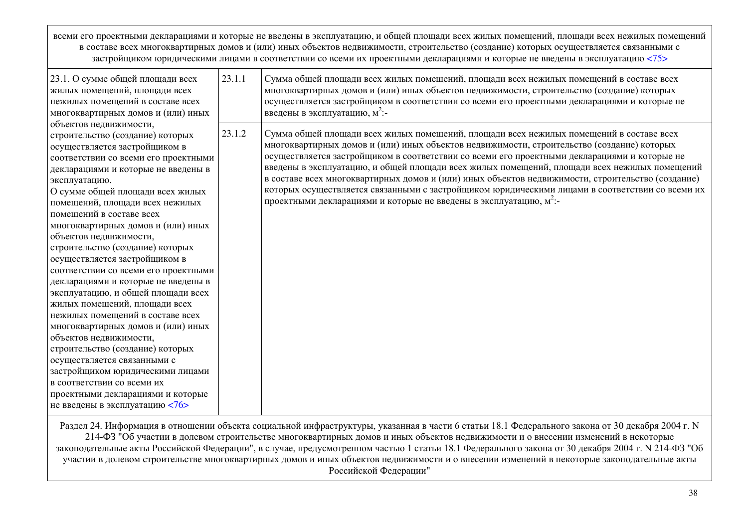всеми его проектными декларациями и которые не введены в эксплуатацию, и общей площади всех жилых помещений, площади всех нежилых помещений в составе всех многоквартирных домов и (или) иных объектов недвижимости, строительство (создание) которых осуществляется связанными с застройщиком юридическими лицами в соответствии со всеми их проектными декларациями и которые не введены в эксплуатацию [<75>](../../приказ%20минстроя%20ПРОЕКТНАЯ%20ДЕКЛАРАЦИЯ.doc#P757)

| 23.1. О сумме общей площади всех<br>жилых помещений, площади всех<br>нежилых помещений в составе всех<br>многоквартирных домов и (или) иных                                                                                                                                                                                                                                                                                                                                                                                                                                                                                                                                                                                                                                                                                                                             | 23.1.1 | Сумма общей площади всех жилых помещений, площади всех нежилых помещений в составе всех<br>многоквартирных домов и (или) иных объектов недвижимости, строительство (создание) которых<br>осуществляется застройщиком в соответствии со всеми его проектными декларациями и которые не<br>введены в эксплуатацию, м <sup>2</sup> :-                                                                                                                                                                                                                                                                                                                                              |
|-------------------------------------------------------------------------------------------------------------------------------------------------------------------------------------------------------------------------------------------------------------------------------------------------------------------------------------------------------------------------------------------------------------------------------------------------------------------------------------------------------------------------------------------------------------------------------------------------------------------------------------------------------------------------------------------------------------------------------------------------------------------------------------------------------------------------------------------------------------------------|--------|---------------------------------------------------------------------------------------------------------------------------------------------------------------------------------------------------------------------------------------------------------------------------------------------------------------------------------------------------------------------------------------------------------------------------------------------------------------------------------------------------------------------------------------------------------------------------------------------------------------------------------------------------------------------------------|
| объектов недвижимости,<br>строительство (создание) которых<br>осуществляется застройщиком в<br>соответствии со всеми его проектными<br>декларациями и которые не введены в<br>эксплуатацию.<br>О сумме общей площади всех жилых<br>помещений, площади всех нежилых<br>помещений в составе всех<br>многоквартирных домов и (или) иных<br>объектов недвижимости,<br>строительство (создание) которых<br>осуществляется застройщиком в<br>соответствии со всеми его проектными<br>декларациями и которые не введены в<br>эксплуатацию, и общей площади всех<br>жилых помещений, площади всех<br>нежилых помещений в составе всех<br>многоквартирных домов и (или) иных<br>объектов недвижимости,<br>строительство (создание) которых<br>осуществляется связанными с<br>застройщиком юридическими лицами<br>в соответствии со всеми их<br>проектными декларациями и которые | 23.1.2 | Сумма общей площади всех жилых помещений, площади всех нежилых помещений в составе всех<br>многоквартирных домов и (или) иных объектов недвижимости, строительство (создание) которых<br>осуществляется застройщиком в соответствии со всеми его проектными декларациями и которые не<br>введены в эксплуатацию, и общей площади всех жилых помещений, площади всех нежилых помещений<br>в составе всех многоквартирных домов и (или) иных объектов недвижимости, строительство (создание)<br>которых осуществляется связанными с застройщиком юридическими лицами в соответствии со всеми их<br>проектными декларациями и которые не введены в эксплуатацию, м <sup>2</sup> :- |
| не введены в эксплуатацию <76>                                                                                                                                                                                                                                                                                                                                                                                                                                                                                                                                                                                                                                                                                                                                                                                                                                          |        |                                                                                                                                                                                                                                                                                                                                                                                                                                                                                                                                                                                                                                                                                 |

Раздел 24. Информация в отношении объекта социальной инфраструктуры, указанная в части 6 статьи 18.1 Федерального закона от 30 декабря 2004 г. N 214-ФЗ "Об участии в долевом строительстве многоквартирных домов и иных объектов недвижимости и о внесении изменений в некоторые законодательные акты Российской Федерации", в случае, предусмотренном частью 1 статьи 18.1 Федерального закона от 30 декабря 2004 г. N 214-ФЗ "Об участии в долевом строительстве многоквартирных домов и иных объектов недвижимости и о внесении изменений в некоторые законодательные акты Российской Федерации"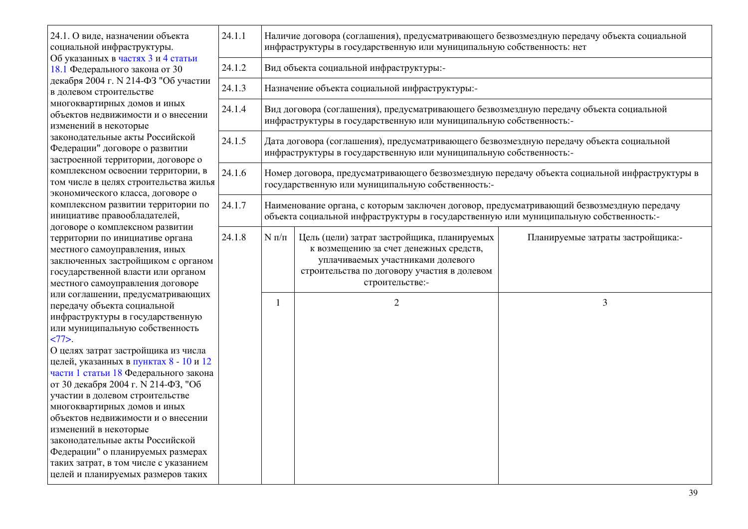| 24.1. О виде, назначении объекта<br>социальной инфраструктуры.<br>Об указанных в частях 3 и 4 статьи<br>18.1 Федерального закона от 30                                                                                                                                                                                                                                                                                                                                                                                                                                                                                                                                                                                                                                                                                                                                                                                                                                                                                        | 24.1.1 | Наличие договора (соглашения), предусматривающего безвозмездную передачу объекта социальной<br>инфраструктуры в государственную или муниципальную собственность: нет               |                                                                                                                                                                                              |                                   |  |  |  |  |
|-------------------------------------------------------------------------------------------------------------------------------------------------------------------------------------------------------------------------------------------------------------------------------------------------------------------------------------------------------------------------------------------------------------------------------------------------------------------------------------------------------------------------------------------------------------------------------------------------------------------------------------------------------------------------------------------------------------------------------------------------------------------------------------------------------------------------------------------------------------------------------------------------------------------------------------------------------------------------------------------------------------------------------|--------|------------------------------------------------------------------------------------------------------------------------------------------------------------------------------------|----------------------------------------------------------------------------------------------------------------------------------------------------------------------------------------------|-----------------------------------|--|--|--|--|
|                                                                                                                                                                                                                                                                                                                                                                                                                                                                                                                                                                                                                                                                                                                                                                                                                                                                                                                                                                                                                               | 24.1.2 | Вид объекта социальной инфраструктуры:-                                                                                                                                            |                                                                                                                                                                                              |                                   |  |  |  |  |
| декабря 2004 г. N 214-ФЗ "Об участии<br>в долевом строительстве                                                                                                                                                                                                                                                                                                                                                                                                                                                                                                                                                                                                                                                                                                                                                                                                                                                                                                                                                               | 24.1.3 | Назначение объекта социальной инфраструктуры:-                                                                                                                                     |                                                                                                                                                                                              |                                   |  |  |  |  |
| многоквартирных домов и иных<br>объектов недвижимости и о внесении<br>изменений в некоторые                                                                                                                                                                                                                                                                                                                                                                                                                                                                                                                                                                                                                                                                                                                                                                                                                                                                                                                                   | 24.1.4 |                                                                                                                                                                                    | Вид договора (соглашения), предусматривающего безвозмездную передачу объекта социальной<br>инфраструктуры в государственную или муниципальную собственность:-                                |                                   |  |  |  |  |
| законодательные акты Российской<br>Федерации" договоре о развитии<br>застроенной территории, договоре о                                                                                                                                                                                                                                                                                                                                                                                                                                                                                                                                                                                                                                                                                                                                                                                                                                                                                                                       | 24.1.5 | Дата договора (соглашения), предусматривающего безвозмездную передачу объекта социальной<br>инфраструктуры в государственную или муниципальную собственность:-                     |                                                                                                                                                                                              |                                   |  |  |  |  |
| комплексном освоении территории, в<br>том числе в целях строительства жилья<br>экономического класса, договоре о<br>комплексном развитии территории по<br>инициативе правообладателей,<br>договоре о комплексном развитии<br>территории по инициативе органа<br>местного самоуправления, иных<br>заключенных застройщиком с органом<br>государственной власти или органом<br>местного самоуправления договоре<br>или соглашении, предусматривающих<br>передачу объекта социальной<br>инфраструктуры в государственную<br>или муниципальную собственность<br>$277$ .<br>О целях затрат застройщика из числа<br>целей, указанных в пунктах 8 - 10 и 12<br>части 1 статьи 18 Федерального закона<br>от 30 декабря 2004 г. № 214-ФЗ, "Об<br>участии в долевом строительстве<br>многоквартирных домов и иных<br>объектов недвижимости и о внесении<br>изменений в некоторые<br>законодательные акты Российской<br>Федерации" о планируемых размерах<br>таких затрат, в том числе с указанием<br>целей и планируемых размеров таких | 24.1.6 |                                                                                                                                                                                    | Номер договора, предусматривающего безвозмездную передачу объекта социальной инфраструктуры в<br>государственную или муниципальную собственность:-                                           |                                   |  |  |  |  |
|                                                                                                                                                                                                                                                                                                                                                                                                                                                                                                                                                                                                                                                                                                                                                                                                                                                                                                                                                                                                                               | 24.1.7 | Наименование органа, с которым заключен договор, предусматривающий безвозмездную передачу<br>объекта социальной инфраструктуры в государственную или муниципальную собственность:- |                                                                                                                                                                                              |                                   |  |  |  |  |
|                                                                                                                                                                                                                                                                                                                                                                                                                                                                                                                                                                                                                                                                                                                                                                                                                                                                                                                                                                                                                               | 24.1.8 | $N\,\pi/\pi$                                                                                                                                                                       | Цель (цели) затрат застройщика, планируемых<br>к возмещению за счет денежных средств,<br>уплачиваемых участниками долевого<br>строительства по договору участия в долевом<br>строительстве:- | Планируемые затраты застройщика:- |  |  |  |  |
|                                                                                                                                                                                                                                                                                                                                                                                                                                                                                                                                                                                                                                                                                                                                                                                                                                                                                                                                                                                                                               |        | 1                                                                                                                                                                                  | $\overline{2}$                                                                                                                                                                               | 3                                 |  |  |  |  |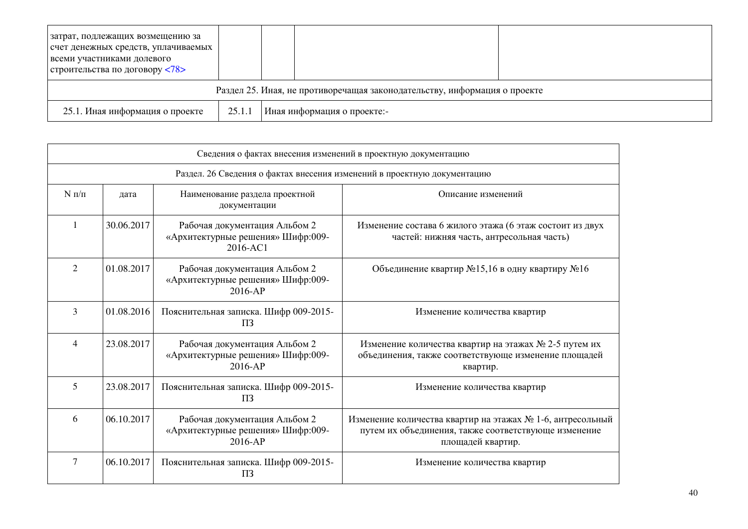| затрат, подлежащих возмещению за<br>счет денежных средств, уплачиваемых<br>всеми участниками долевого |        |                             |  |  |  |
|-------------------------------------------------------------------------------------------------------|--------|-----------------------------|--|--|--|
| строительства по договору <78>                                                                        |        |                             |  |  |  |
| Раздел 25. Иная, не противоречащая законодательству, информация о проекте                             |        |                             |  |  |  |
| 25.1. Иная информация о проекте                                                                       | 25.1.1 | Иная информация о проекте:- |  |  |  |

| Сведения о фактах внесения изменений в проектную документацию            |            |                                                                                 |                                                                                                                                         |  |  |
|--------------------------------------------------------------------------|------------|---------------------------------------------------------------------------------|-----------------------------------------------------------------------------------------------------------------------------------------|--|--|
| Раздел. 26 Сведения о фактах внесения изменений в проектную документацию |            |                                                                                 |                                                                                                                                         |  |  |
| $N \pi/\pi$                                                              | дата       | Наименование раздела проектной<br>документации                                  | Описание изменений                                                                                                                      |  |  |
| 1                                                                        | 30.06.2017 | Рабочая документация Альбом 2<br>«Архитектурные решения» Шифр:009-<br>2016-AC1  | Изменение состава 6 жилого этажа (6 этаж состоит из двух<br>частей: нижняя часть, антресольная часть)                                   |  |  |
| $\overline{2}$                                                           | 01.08.2017 | Рабочая документация Альбом 2<br>«Архитектурные решения» Шифр:009-<br>$2016-AP$ | Объединение квартир №15,16 в одну квартиру №16                                                                                          |  |  |
| $\overline{3}$                                                           | 01.08.2016 | Пояснительная записка. Шифр 009-2015-<br>$\Pi$ 3                                | Изменение количества квартир                                                                                                            |  |  |
| $\overline{4}$                                                           | 23.08.2017 | Рабочая документация Альбом 2<br>«Архитектурные решения» Шифр:009-<br>$2016-AP$ | Изменение количества квартир на этажах № 2-5 путем их<br>объединения, также соответствующе изменение площадей<br>квартир.               |  |  |
| 5                                                                        | 23.08.2017 | Пояснительная записка. Шифр 009-2015-<br>$\Pi$ 3                                | Изменение количества квартир                                                                                                            |  |  |
| 6                                                                        | 06.10.2017 | Рабочая документация Альбом 2<br>«Архитектурные решения» Шифр:009-<br>2016-AP   | Изменение количества квартир на этажах № 1-6, антресольный<br>путем их объединения, также соответствующе изменение<br>площадей квартир. |  |  |
| $\tau$                                                                   | 06.10.2017 | Пояснительная записка. Шифр 009-2015-<br>$\Pi$ <sub>3</sub>                     | Изменение количества квартир                                                                                                            |  |  |